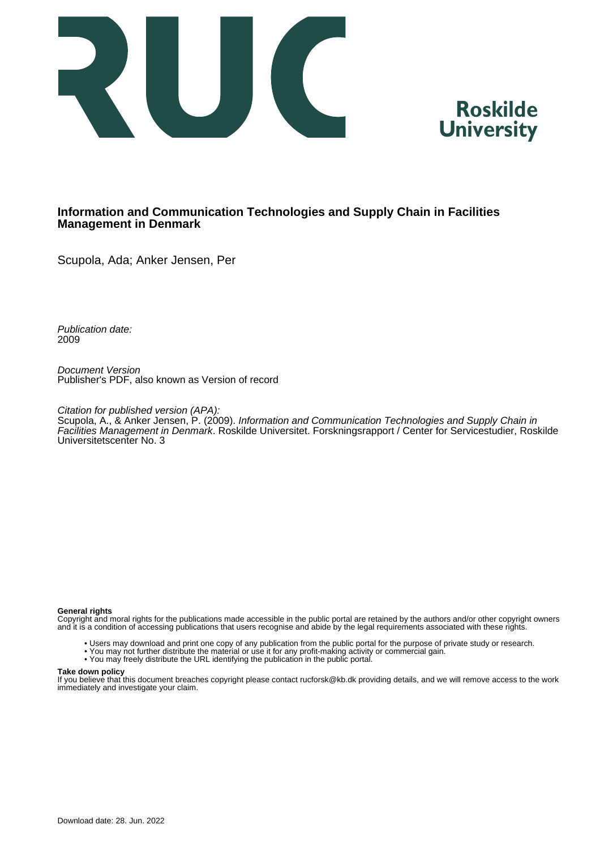



#### **Information and Communication Technologies and Supply Chain in Facilities Management in Denmark**

Scupola, Ada; Anker Jensen, Per

Publication date: 2009

Document Version Publisher's PDF, also known as Version of record

Citation for published version (APA):

Scupola, A., & Anker Jensen, P. (2009). Information and Communication Technologies and Supply Chain in Facilities Management in Denmark. Roskilde Universitet. Forskningsrapport / Center for Servicestudier, Roskilde Universitetscenter No. 3

#### **General rights**

Copyright and moral rights for the publications made accessible in the public portal are retained by the authors and/or other copyright owners and it is a condition of accessing publications that users recognise and abide by the legal requirements associated with these rights.

- Users may download and print one copy of any publication from the public portal for the purpose of private study or research.
- You may not further distribute the material or use it for any profit-making activity or commercial gain.
- You may freely distribute the URL identifying the publication in the public portal.

#### **Take down policy**

If you believe that this document breaches copyright please contact rucforsk@kb.dk providing details, and we will remove access to the work immediately and investigate your claim.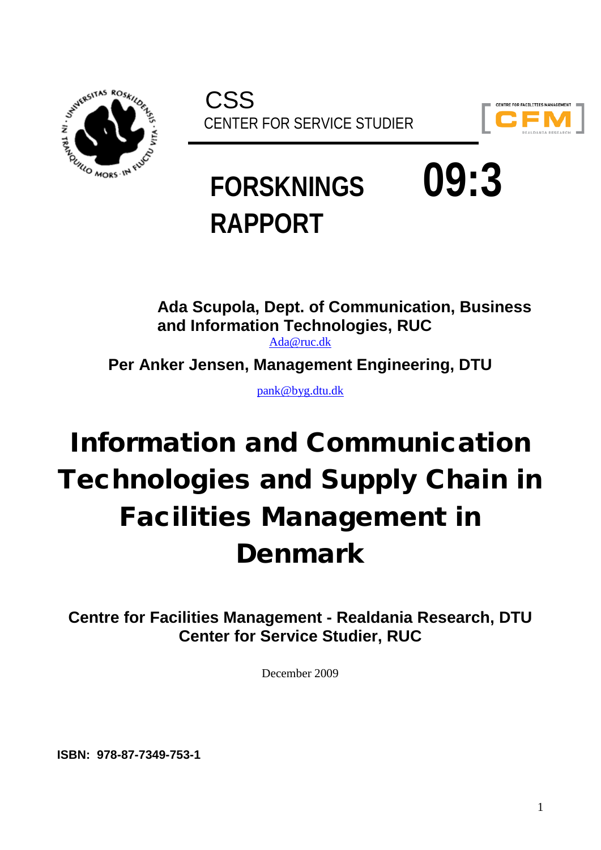



# **FORSKNINGS 09:3 RAPPORT**

**Ada Scupola, Dept. of Communication, Business and Information Technologies, RUC**

[Ada@ruc.dk](mailto:Ada@ruc.dk)

**Per Anker Jensen, Management Engineering, DTU**

[pank@byg.dtu.dk](mailto:pank@byg.dtu.dk)

# Information and Communication Technologies and Supply Chain in Facilities Management in Denmark

**Centre for Facilities Management - Realdania Research, DTU Center for Service Studier, RUC**

December 2009

**ISBN: 978-87-7349-753-1**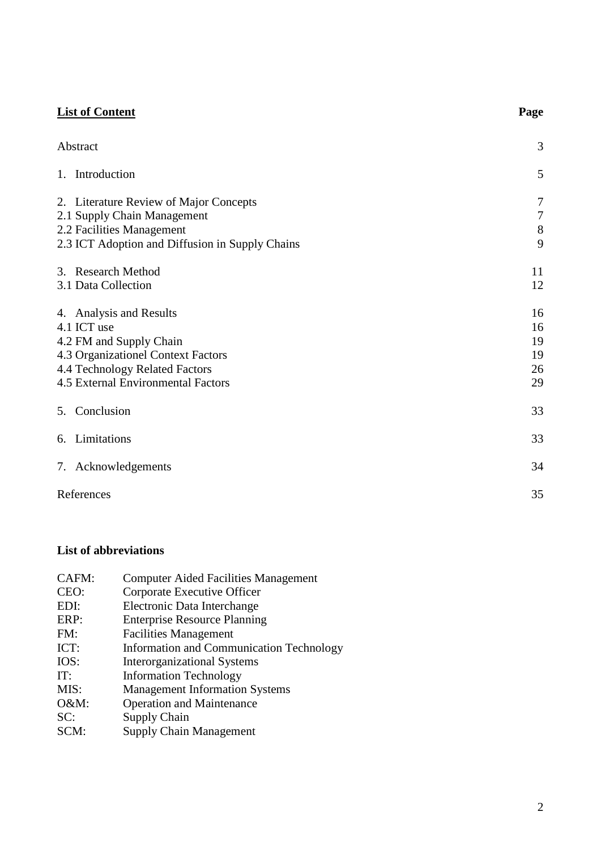| <b>List of Content</b>                                                                                                                                                          | Page                                       |
|---------------------------------------------------------------------------------------------------------------------------------------------------------------------------------|--------------------------------------------|
| Abstract                                                                                                                                                                        | 3                                          |
| Introduction<br>1.                                                                                                                                                              | 5                                          |
| 2. Literature Review of Major Concepts<br>2.1 Supply Chain Management<br>2.2 Facilities Management<br>2.3 ICT Adoption and Diffusion in Supply Chains                           | $\overline{7}$<br>$\overline{7}$<br>8<br>9 |
| 3. Research Method<br>3.1 Data Collection                                                                                                                                       | 11<br>12                                   |
| 4. Analysis and Results<br>4.1 ICT use<br>4.2 FM and Supply Chain<br>4.3 Organizationel Context Factors<br>4.4 Technology Related Factors<br>4.5 External Environmental Factors | 16<br>16<br>19<br>19<br>26<br>29           |
| Conclusion<br>5.                                                                                                                                                                | 33                                         |
| Limitations<br>6.                                                                                                                                                               | 33                                         |
| 7. Acknowledgements                                                                                                                                                             | 34                                         |
| References                                                                                                                                                                      | 35                                         |

### **List of abbreviations**

| CAFM: | <b>Computer Aided Facilities Management</b>     |
|-------|-------------------------------------------------|
| CEO:  | Corporate Executive Officer                     |
| EDI:  | Electronic Data Interchange                     |
| ERP:  | <b>Enterprise Resource Planning</b>             |
| FM:   | <b>Facilities Management</b>                    |
| ICT:  | <b>Information and Communication Technology</b> |
| IOS:  | <b>Interorganizational Systems</b>              |
| IT:   | <b>Information Technology</b>                   |
| MIS:  | <b>Management Information Systems</b>           |
| O&M:  | <b>Operation and Maintenance</b>                |
| SC:   | Supply Chain                                    |
| SCM:  | <b>Supply Chain Management</b>                  |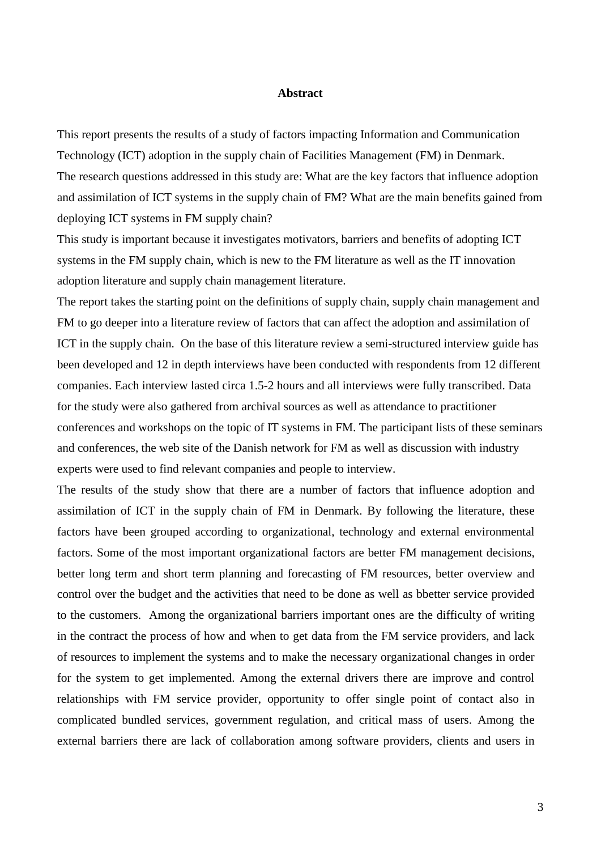#### **Abstract**

This report presents the results of a study of factors impacting Information and Communication Technology (ICT) adoption in the supply chain of Facilities Management (FM) in Denmark. The research questions addressed in this study are: What are the key factors that influence adoption and assimilation of ICT systems in the supply chain of FM? What are the main benefits gained from deploying ICT systems in FM supply chain?

This study is important because it investigates motivators, barriers and benefits of adopting ICT systems in the FM supply chain, which is new to the FM literature as well as the IT innovation adoption literature and supply chain management literature.

The report takes the starting point on the definitions of supply chain, supply chain management and FM to go deeper into a literature review of factors that can affect the adoption and assimilation of ICT in the supply chain. On the base of this literature review a semi-structured interview guide has been developed and 12 in depth interviews have been conducted with respondents from 12 different companies. Each interview lasted circa 1.5-2 hours and all interviews were fully transcribed. Data for the study were also gathered from archival sources as well as attendance to practitioner conferences and workshops on the topic of IT systems in FM. The participant lists of these seminars and conferences, the web site of the Danish network for FM as well as discussion with industry experts were used to find relevant companies and people to interview.

The results of the study show that there are a number of factors that influence adoption and assimilation of ICT in the supply chain of FM in Denmark. By following the literature, these factors have been grouped according to organizational, technology and external environmental factors. Some of the most important organizational factors are better FM management decisions, better long term and short term planning and forecasting of FM resources, better overview and control over the budget and the activities that need to be done as well as bbetter service provided to the customers. Among the organizational barriers important ones are the difficulty of writing in the contract the process of how and when to get data from the FM service providers, and lack of resources to implement the systems and to make the necessary organizational changes in order for the system to get implemented. Among the external drivers there are improve and control relationships with FM service provider, opportunity to offer single point of contact also in complicated bundled services, government regulation, and critical mass of users. Among the external barriers there are lack of collaboration among software providers, clients and users in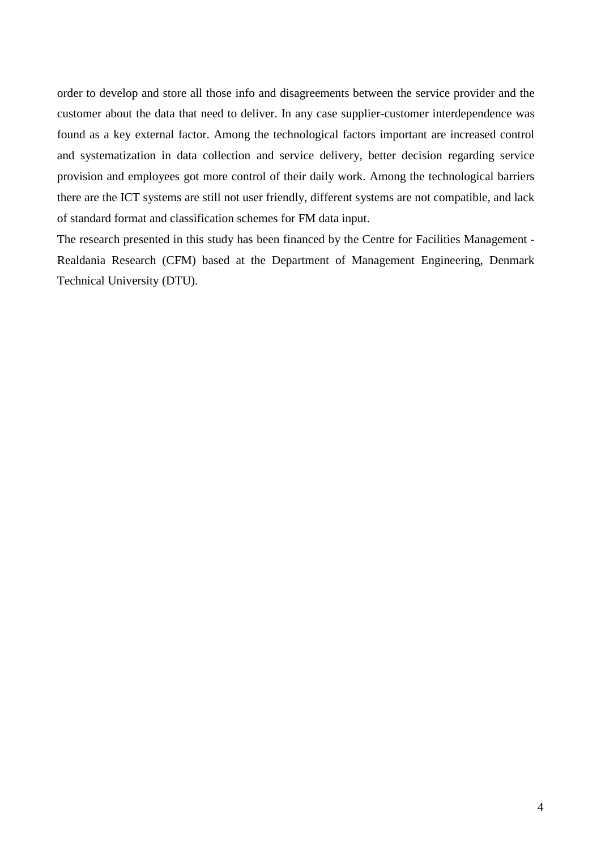order to develop and store all those info and disagreements between the service provider and the customer about the data that need to deliver. In any case supplier-customer interdependence was found as a key external factor. Among the technological factors important are increased control and systematization in data collection and service delivery, better decision regarding service provision and employees got more control of their daily work. Among the technological barriers there are the ICT systems are still not user friendly, different systems are not compatible, and lack of standard format and classification schemes for FM data input.

The research presented in this study has been financed by the Centre for Facilities Management - Realdania Research (CFM) based at the Department of Management Engineering, Denmark Technical University (DTU).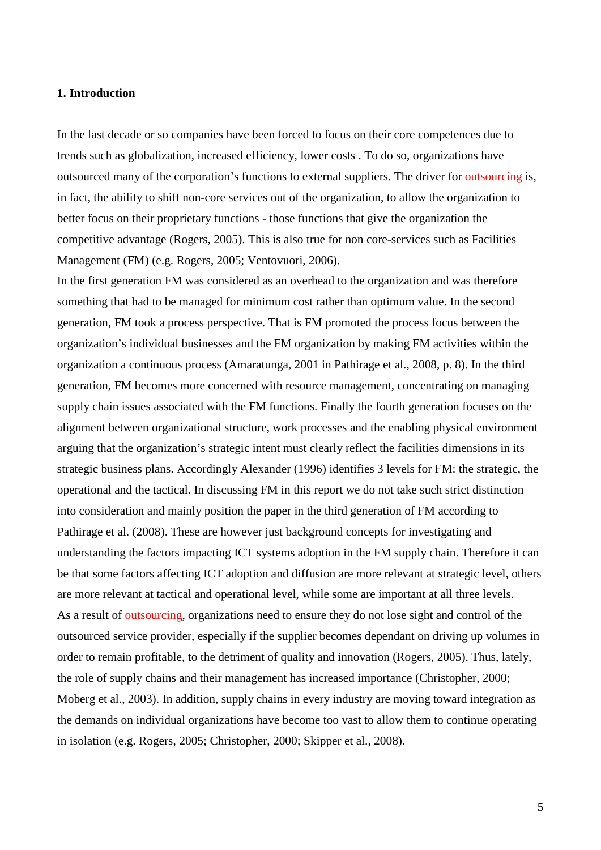#### **1. Introduction**

In the last decade or so companies have been forced to focus on their core competences due to trends such as globalization, increased efficiency, lower costs . To do so, organizations have outsourced many of the corporation's functions to external suppliers. The driver for outsourcing is, in fact, the ability to shift non-core services out of the organization, to allow the organization to better focus on their proprietary functions - those functions that give the organization the competitive advantage (Rogers, 2005). This is also true for non core-services such as Facilities Management (FM) (e.g. Rogers, 2005; Ventovuori, 2006).

In the first generation FM was considered as an overhead to the organization and was therefore something that had to be managed for minimum cost rather than optimum value. In the second generation, FM took a process perspective. That is FM promoted the process focus between the organization's individual businesses and the FM organization by making FM activities within the organization a continuous process (Amaratunga, 2001 in Pathirage et al., 2008, p. 8). In the third generation, FM becomes more concerned with resource management, concentrating on managing supply chain issues associated with the FM functions. Finally the fourth generation focuses on the alignment between organizational structure, work processes and the enabling physical environment arguing that the organization's strategic intent must clearly reflect the facilities dimensions in its strategic business plans. Accordingly Alexander (1996) identifies 3 levels for FM: the strategic, the operational and the tactical. In discussing FM in this report we do not take such strict distinction into consideration and mainly position the paper in the third generation of FM according to Pathirage et al. (2008). These are however just background concepts for investigating and understanding the factors impacting ICT systems adoption in the FM supply chain. Therefore it can be that some factors affecting ICT adoption and diffusion are more relevant at strategic level, others are more relevant at tactical and operational level, while some are important at all three levels. As a result of outsourcing, organizations need to ensure they do not lose sight and control of the outsourced service provider, especially if the supplier becomes dependant on driving up volumes in order to remain profitable, to the detriment of quality and innovation (Rogers, 2005). Thus, lately, the role of supply chains and their management has increased importance (Christopher, 2000; Moberg et al., 2003). In addition, supply chains in every industry are moving toward integration as the demands on individual organizations have become too vast to allow them to continue operating in isolation (e.g. Rogers, 2005; Christopher, 2000; Skipper et al., 2008).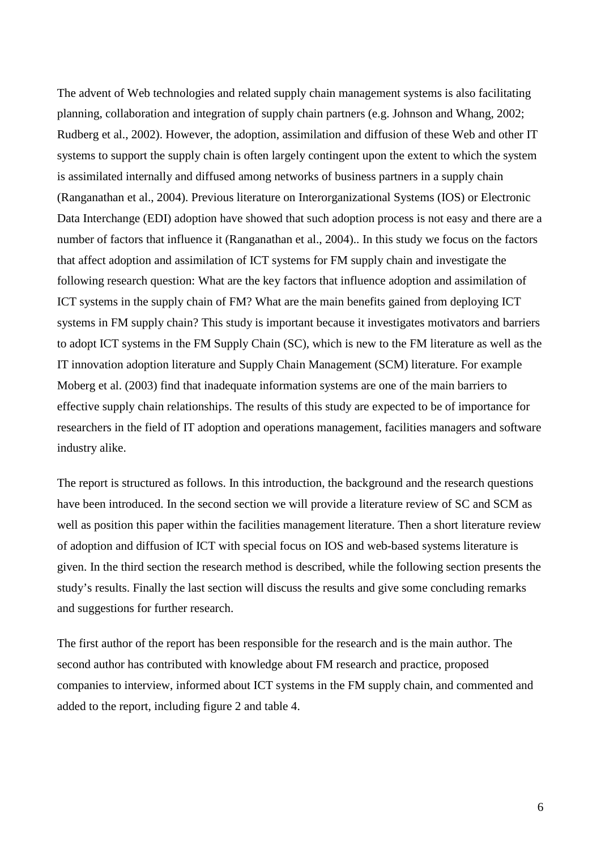The advent of Web technologies and related supply chain management systems is also facilitating planning, collaboration and integration of supply chain partners (e.g. Johnson and Whang, 2002; Rudberg et al., 2002). However, the adoption, assimilation and diffusion of these Web and other IT systems to support the supply chain is often largely contingent upon the extent to which the system is assimilated internally and diffused among networks of business partners in a supply chain (Ranganathan et al., 2004). Previous literature on Interorganizational Systems (IOS) or Electronic Data Interchange (EDI) adoption have showed that such adoption process is not easy and there are a number of factors that influence it (Ranganathan et al., 2004).. In this study we focus on the factors that affect adoption and assimilation of ICT systems for FM supply chain and investigate the following research question: What are the key factors that influence adoption and assimilation of ICT systems in the supply chain of FM? What are the main benefits gained from deploying ICT systems in FM supply chain? This study is important because it investigates motivators and barriers to adopt ICT systems in the FM Supply Chain (SC), which is new to the FM literature as well as the IT innovation adoption literature and Supply Chain Management (SCM) literature. For example Moberg et al. (2003) find that inadequate information systems are one of the main barriers to effective supply chain relationships. The results of this study are expected to be of importance for researchers in the field of IT adoption and operations management, facilities managers and software industry alike.

The report is structured as follows. In this introduction, the background and the research questions have been introduced. In the second section we will provide a literature review of SC and SCM as well as position this paper within the facilities management literature. Then a short literature review of adoption and diffusion of ICT with special focus on IOS and web-based systems literature is given. In the third section the research method is described, while the following section presents the study's results. Finally the last section will discuss the results and give some concluding remarks and suggestions for further research.

The first author of the report has been responsible for the research and is the main author. The second author has contributed with knowledge about FM research and practice, proposed companies to interview, informed about ICT systems in the FM supply chain, and commented and added to the report, including figure 2 and table 4.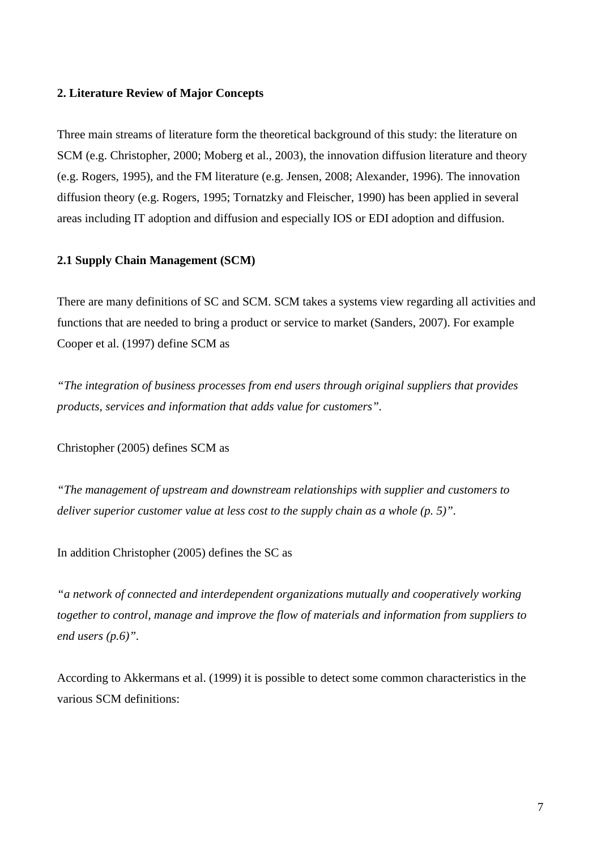#### **2. Literature Review of Major Concepts**

Three main streams of literature form the theoretical background of this study: the literature on SCM (e.g. Christopher, 2000; Moberg et al., 2003), the innovation diffusion literature and theory (e.g. Rogers, 1995), and the FM literature (e.g. Jensen, 2008; Alexander, 1996). The innovation diffusion theory (e.g. Rogers, 1995; Tornatzky and Fleischer, 1990) has been applied in several areas including IT adoption and diffusion and especially IOS or EDI adoption and diffusion.

#### **2.1 Supply Chain Management (SCM)**

There are many definitions of SC and SCM. SCM takes a systems view regarding all activities and functions that are needed to bring a product or service to market (Sanders, 2007). For example Cooper et al. (1997) define SCM as

*"The integration of business processes from end users through original suppliers that provides products, services and information that adds value for customers".*

Christopher (2005) defines SCM as

*"The management of upstream and downstream relationships with supplier and customers to deliver superior customer value at less cost to the supply chain as a whole (p. 5)".* 

In addition Christopher (2005) defines the SC as

*"a network of connected and interdependent organizations mutually and cooperatively working together to control, manage and improve the flow of materials and information from suppliers to end users (p.6)".* 

According to Akkermans et al. (1999) it is possible to detect some common characteristics in the various SCM definitions: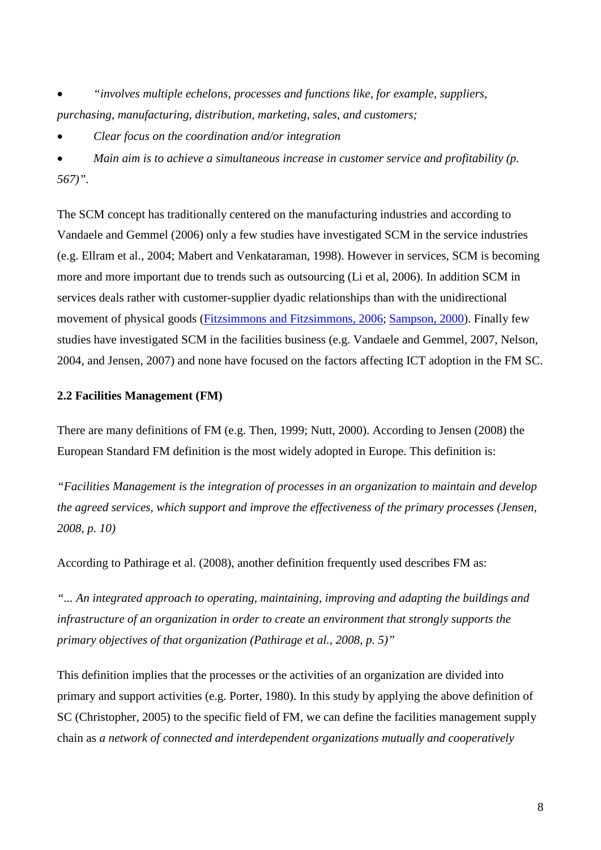• *"involves multiple echelons, processes and functions like, for example, suppliers, purchasing, manufacturing, distribution, marketing, sales, and customers;*

• *Clear focus on the coordination and/or integration*

• *Main aim is to achieve a simultaneous increase in customer service and profitability (p. 567)".*

The SCM concept has traditionally centered on the manufacturing industries and according to Vandaele and Gemmel (2006) only a few studies have investigated SCM in the service industries (e.g. Ellram et al., 2004; Mabert and Venkataraman, 1998). However in services, SCM is becoming more and more important due to trends such as outsourcing (Li et al, 2006). In addition SCM in services deals rather with customer-supplier dyadic relationships than with the unidirectional movement of physical goods [\(Fitzsimmons and Fitzsimmons, 2006;](http://www.emeraldinsight.com/Insight/ViewContentServlet?contentType=Article&Filename=Published/EmeraldFullTextArticle/Articles/0850180305.html#idb17#idb17) [Sampson, 2000\)](http://www.emeraldinsight.com/Insight/ViewContentServlet?contentType=Article&Filename=Published/EmeraldFullTextArticle/Articles/0850180305.html#idb36#idb36). Finally few studies have investigated SCM in the facilities business (e.g. Vandaele and Gemmel, 2007, Nelson, 2004, and Jensen, 2007) and none have focused on the factors affecting ICT adoption in the FM SC.

#### **2.2 Facilities Management (FM)**

There are many definitions of FM (e.g. Then, 1999; Nutt, 2000). According to Jensen (2008) the European Standard FM definition is the most widely adopted in Europe. This definition is:

*"Facilities Management is the integration of processes in an organization to maintain and develop the agreed services, which support and improve the effectiveness of the primary processes (Jensen, 2008, p. 10)* 

According to Pathirage et al. (2008), another definition frequently used describes FM as:

*"... An integrated approach to operating, maintaining, improving and adapting the buildings and infrastructure of an organization in order to create an environment that strongly supports the primary objectives of that organization (Pathirage et al., 2008, p. 5)"*

This definition implies that the processes or the activities of an organization are divided into primary and support activities (e.g. Porter, 1980). In this study by applying the above definition of SC (Christopher, 2005) to the specific field of FM, we can define the facilities management supply chain as *a network of connected and interdependent organizations mutually and cooperatively*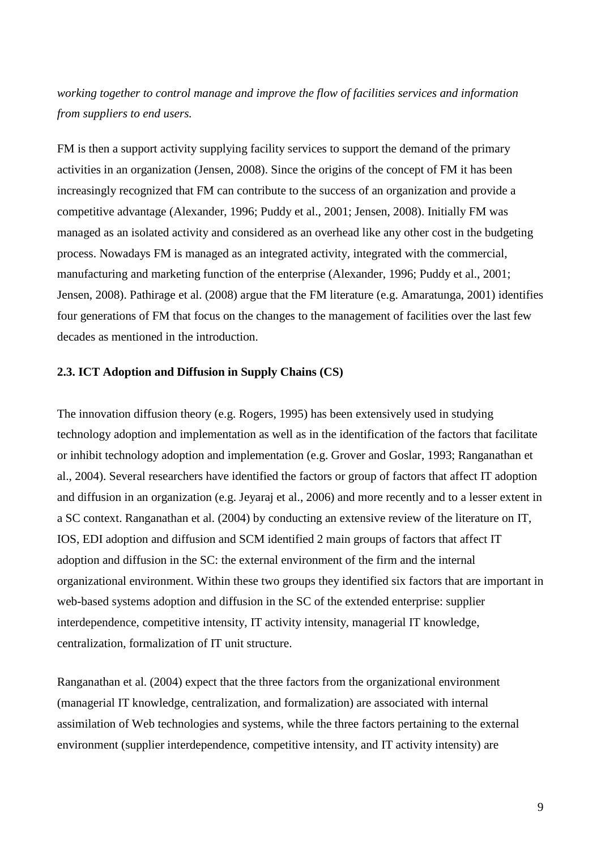*working together to control manage and improve the flow of facilities services and information from suppliers to end users.*

FM is then a support activity supplying facility services to support the demand of the primary activities in an organization (Jensen, 2008). Since the origins of the concept of FM it has been increasingly recognized that FM can contribute to the success of an organization and provide a competitive advantage (Alexander, 1996; Puddy et al., 2001; Jensen, 2008). Initially FM was managed as an isolated activity and considered as an overhead like any other cost in the budgeting process. Nowadays FM is managed as an integrated activity, integrated with the commercial, manufacturing and marketing function of the enterprise (Alexander, 1996; Puddy et al., 2001; Jensen, 2008). Pathirage et al. (2008) argue that the FM literature (e.g. Amaratunga, 2001) identifies four generations of FM that focus on the changes to the management of facilities over the last few decades as mentioned in the introduction.

#### **2.3. ICT Adoption and Diffusion in Supply Chains (CS)**

The innovation diffusion theory (e.g. Rogers, 1995) has been extensively used in studying technology adoption and implementation as well as in the identification of the factors that facilitate or inhibit technology adoption and implementation (e.g. Grover and Goslar, 1993; Ranganathan et al., 2004). Several researchers have identified the factors or group of factors that affect IT adoption and diffusion in an organization (e.g. Jeyaraj et al., 2006) and more recently and to a lesser extent in a SC context. Ranganathan et al. (2004) by conducting an extensive review of the literature on IT, IOS, EDI adoption and diffusion and SCM identified 2 main groups of factors that affect IT adoption and diffusion in the SC: the external environment of the firm and the internal organizational environment. Within these two groups they identified six factors that are important in web-based systems adoption and diffusion in the SC of the extended enterprise: supplier interdependence, competitive intensity, IT activity intensity, managerial IT knowledge, centralization, formalization of IT unit structure.

Ranganathan et al. (2004) expect that the three factors from the organizational environment (managerial IT knowledge, centralization, and formalization) are associated with internal assimilation of Web technologies and systems, while the three factors pertaining to the external environment (supplier interdependence, competitive intensity, and IT activity intensity) are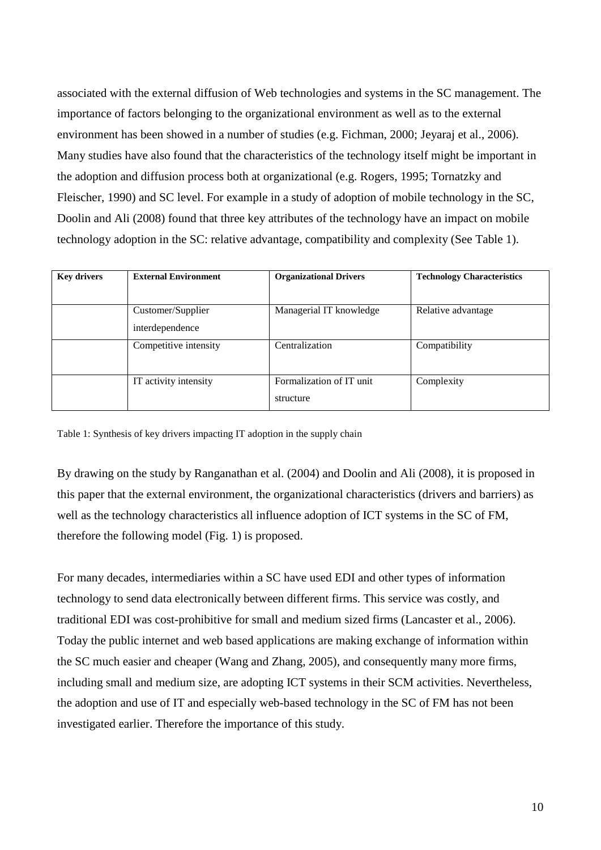associated with the external diffusion of Web technologies and systems in the SC management. The importance of factors belonging to the organizational environment as well as to the external environment has been showed in a number of studies (e.g. Fichman, 2000; Jeyaraj et al., 2006). Many studies have also found that the characteristics of the technology itself might be important in the adoption and diffusion process both at organizational (e.g. Rogers, 1995; Tornatzky and Fleischer, 1990) and SC level. For example in a study of adoption of mobile technology in the SC, Doolin and Ali (2008) found that three key attributes of the technology have an impact on mobile technology adoption in the SC: relative advantage, compatibility and complexity (See Table 1).

| <b>Key drivers</b> | <b>External Environment</b> | <b>Organizational Drivers</b> | <b>Technology Characteristics</b> |
|--------------------|-----------------------------|-------------------------------|-----------------------------------|
|                    |                             |                               |                                   |
|                    | Customer/Supplier           | Managerial IT knowledge       | Relative advantage                |
|                    | interdependence             |                               |                                   |
|                    | Competitive intensity       | Centralization                | Compatibility                     |
|                    |                             |                               |                                   |
|                    | IT activity intensity       | Formalization of IT unit      | Complexity                        |
|                    |                             | structure                     |                                   |

Table 1: Synthesis of key drivers impacting IT adoption in the supply chain

By drawing on the study by Ranganathan et al. (2004) and Doolin and Ali (2008), it is proposed in this paper that the external environment, the organizational characteristics (drivers and barriers) as well as the technology characteristics all influence adoption of ICT systems in the SC of FM, therefore the following model (Fig. 1) is proposed.

For many decades, intermediaries within a SC have used EDI and other types of information technology to send data electronically between different firms. This service was costly, and traditional EDI was cost-prohibitive for small and medium sized firms (Lancaster et al., 2006). Today the public internet and web based applications are making exchange of information within the SC much easier and cheaper (Wang and Zhang, 2005), and consequently many more firms, including small and medium size, are adopting ICT systems in their SCM activities. Nevertheless, the adoption and use of IT and especially web-based technology in the SC of FM has not been investigated earlier. Therefore the importance of this study.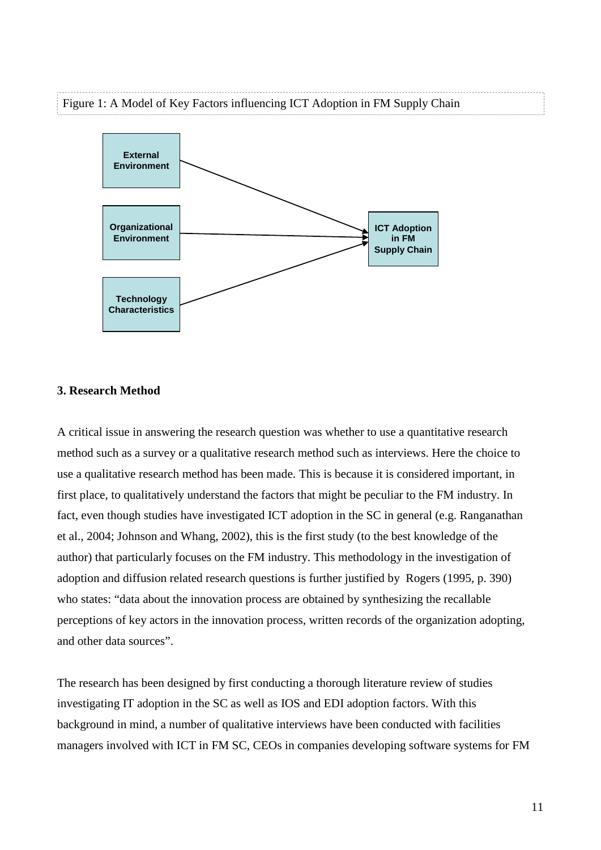#### Figure 1: A Model of Key Factors influencing ICT Adoption in FM Supply Chain



#### **3. Research Method**

A critical issue in answering the research question was whether to use a quantitative research method such as a survey or a qualitative research method such as interviews. Here the choice to use a qualitative research method has been made. This is because it is considered important, in first place, to qualitatively understand the factors that might be peculiar to the FM industry. In fact, even though studies have investigated ICT adoption in the SC in general (e.g. Ranganathan et al., 2004; Johnson and Whang, 2002), this is the first study (to the best knowledge of the author) that particularly focuses on the FM industry. This methodology in the investigation of adoption and diffusion related research questions is further justified by Rogers (1995, p. 390) who states: "data about the innovation process are obtained by synthesizing the recallable perceptions of key actors in the innovation process, written records of the organization adopting, and other data sources".

The research has been designed by first conducting a thorough literature review of studies investigating IT adoption in the SC as well as IOS and EDI adoption factors. With this background in mind, a number of qualitative interviews have been conducted with facilities managers involved with ICT in FM SC, CEOs in companies developing software systems for FM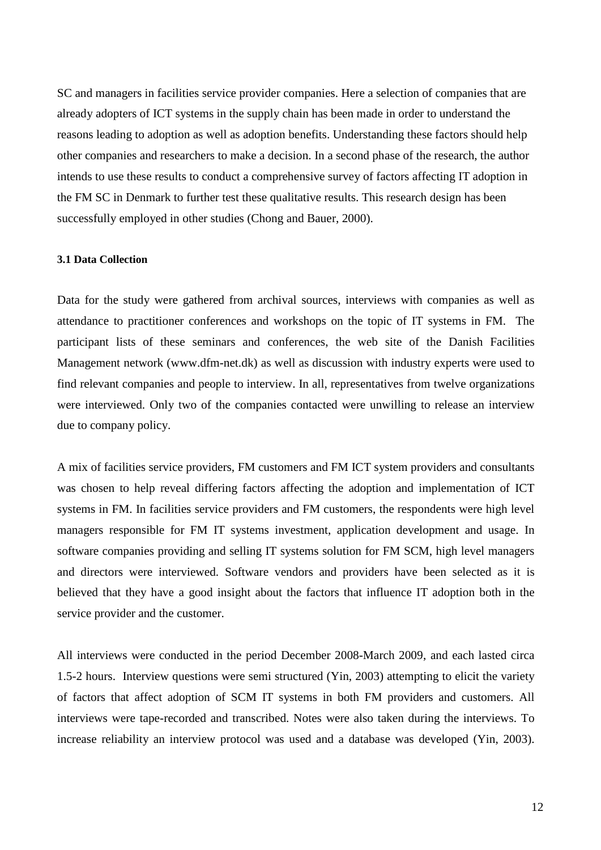SC and managers in facilities service provider companies. Here a selection of companies that are already adopters of ICT systems in the supply chain has been made in order to understand the reasons leading to adoption as well as adoption benefits. Understanding these factors should help other companies and researchers to make a decision. In a second phase of the research, the author intends to use these results to conduct a comprehensive survey of factors affecting IT adoption in the FM SC in Denmark to further test these qualitative results. This research design has been successfully employed in other studies (Chong and Bauer, 2000).

#### **3.1 Data Collection**

Data for the study were gathered from archival sources, interviews with companies as well as attendance to practitioner conferences and workshops on the topic of IT systems in FM. The participant lists of these seminars and conferences, the web site of the Danish Facilities Management network (www.dfm-net.dk) as well as discussion with industry experts were used to find relevant companies and people to interview. In all, representatives from twelve organizations were interviewed. Only two of the companies contacted were unwilling to release an interview due to company policy.

A mix of facilities service providers, FM customers and FM ICT system providers and consultants was chosen to help reveal differing factors affecting the adoption and implementation of ICT systems in FM. In facilities service providers and FM customers, the respondents were high level managers responsible for FM IT systems investment, application development and usage. In software companies providing and selling IT systems solution for FM SCM, high level managers and directors were interviewed. Software vendors and providers have been selected as it is believed that they have a good insight about the factors that influence IT adoption both in the service provider and the customer.

All interviews were conducted in the period December 2008-March 2009, and each lasted circa 1.5-2 hours. Interview questions were semi structured (Yin, 2003) attempting to elicit the variety of factors that affect adoption of SCM IT systems in both FM providers and customers. All interviews were tape-recorded and transcribed. Notes were also taken during the interviews. To increase reliability an interview protocol was used and a database was developed (Yin, 2003).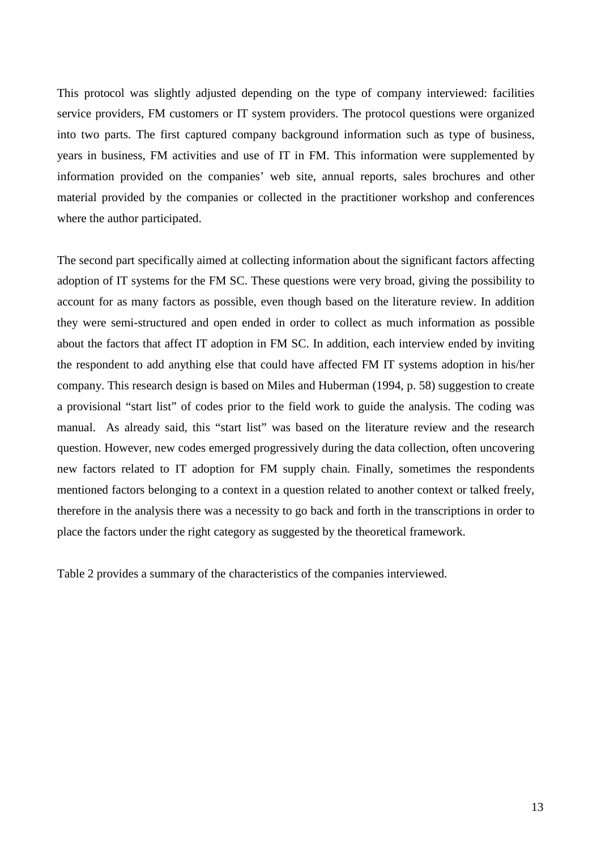This protocol was slightly adjusted depending on the type of company interviewed: facilities service providers, FM customers or IT system providers. The protocol questions were organized into two parts. The first captured company background information such as type of business, years in business, FM activities and use of IT in FM. This information were supplemented by information provided on the companies' web site, annual reports, sales brochures and other material provided by the companies or collected in the practitioner workshop and conferences where the author participated.

The second part specifically aimed at collecting information about the significant factors affecting adoption of IT systems for the FM SC. These questions were very broad, giving the possibility to account for as many factors as possible, even though based on the literature review. In addition they were semi-structured and open ended in order to collect as much information as possible about the factors that affect IT adoption in FM SC. In addition, each interview ended by inviting the respondent to add anything else that could have affected FM IT systems adoption in his/her company. This research design is based on Miles and Huberman (1994, p. 58) suggestion to create a provisional "start list" of codes prior to the field work to guide the analysis. The coding was manual. As already said, this "start list" was based on the literature review and the research question. However, new codes emerged progressively during the data collection, often uncovering new factors related to IT adoption for FM supply chain. Finally, sometimes the respondents mentioned factors belonging to a context in a question related to another context or talked freely, therefore in the analysis there was a necessity to go back and forth in the transcriptions in order to place the factors under the right category as suggested by the theoretical framework.

Table 2 provides a summary of the characteristics of the companies interviewed.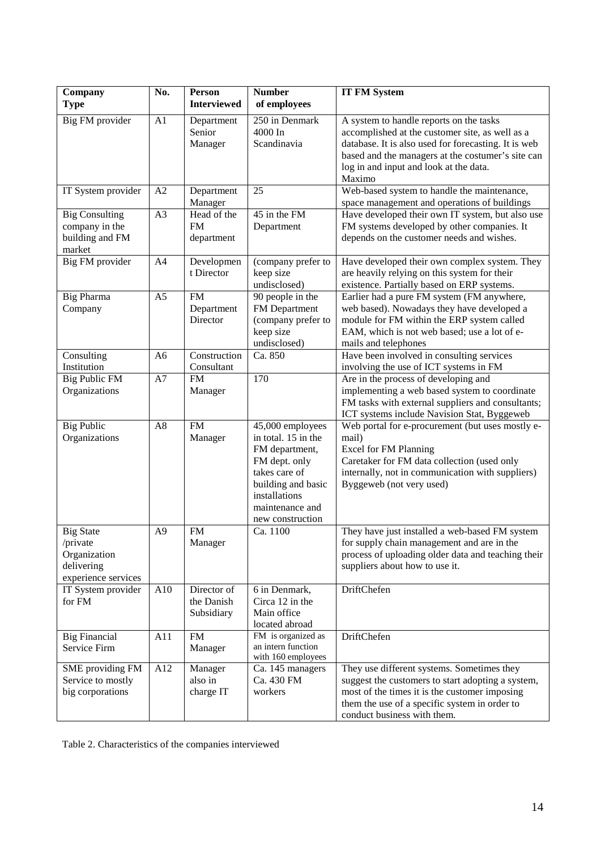| Company                   | No.            | Person                     | <b>Number</b>                            | <b>IT FM System</b>                                                                         |
|---------------------------|----------------|----------------------------|------------------------------------------|---------------------------------------------------------------------------------------------|
| <b>Type</b>               |                | <b>Interviewed</b>         | of employees                             |                                                                                             |
| Big FM provider           | A1             | Department                 | 250 in Denmark                           | A system to handle reports on the tasks                                                     |
|                           |                | Senior                     | 4000 In                                  | accomplished at the customer site, as well as a                                             |
|                           |                | Manager                    | Scandinavia                              | database. It is also used for forecasting. It is web                                        |
|                           |                |                            |                                          | based and the managers at the costumer's site can                                           |
|                           |                |                            |                                          | log in and input and look at the data.                                                      |
|                           |                |                            |                                          | Maximo                                                                                      |
| IT System provider        | A2             | Department<br>Manager      | $\overline{25}$                          | Web-based system to handle the maintenance,<br>space management and operations of buildings |
| <b>Big Consulting</b>     | A3             | Head of the                | 45 in the FM                             | Have developed their own IT system, but also use                                            |
| company in the            |                | <b>FM</b>                  | Department                               | FM systems developed by other companies. It                                                 |
| building and FM           |                | department                 |                                          | depends on the customer needs and wishes.                                                   |
| market                    |                |                            |                                          |                                                                                             |
| Big FM provider           | A4             | Developmen                 | (company prefer to                       | Have developed their own complex system. They                                               |
|                           |                | t Director                 | keep size                                | are heavily relying on this system for their                                                |
|                           |                |                            | undisclosed)                             | existence. Partially based on ERP systems.                                                  |
| <b>Big Pharma</b>         | A <sub>5</sub> | <b>FM</b>                  | 90 people in the                         | Earlier had a pure FM system (FM anywhere,                                                  |
| Company                   |                | Department                 | FM Department                            | web based). Nowadays they have developed a                                                  |
|                           |                | Director                   | (company prefer to                       | module for FM within the ERP system called                                                  |
|                           |                |                            | keep size                                | EAM, which is not web based; use a lot of e-                                                |
|                           |                |                            | undisclosed)                             | mails and telephones                                                                        |
| Consulting<br>Institution | A <sub>6</sub> | Construction<br>Consultant | Ca. 850                                  | Have been involved in consulting services                                                   |
| <b>Big Public FM</b>      | A7             | <b>FM</b>                  | 170                                      | involving the use of ICT systems in FM<br>Are in the process of developing and              |
| Organizations             |                | Manager                    |                                          | implementing a web based system to coordinate                                               |
|                           |                |                            |                                          | FM tasks with external suppliers and consultants;                                           |
|                           |                |                            |                                          | ICT systems include Navision Stat, Byggeweb                                                 |
| <b>Big Public</b>         | A <sub>8</sub> | <b>FM</b>                  | 45,000 employees                         | Web portal for e-procurement (but uses mostly e-                                            |
| Organizations             |                | Manager                    | in total. 15 in the                      | mail)                                                                                       |
|                           |                |                            | FM department,                           | <b>Excel for FM Planning</b>                                                                |
|                           |                |                            | FM dept. only                            | Caretaker for FM data collection (used only                                                 |
|                           |                |                            | takes care of                            | internally, not in communication with suppliers)                                            |
|                           |                |                            | building and basic                       | Byggeweb (not very used)                                                                    |
|                           |                |                            | installations                            |                                                                                             |
|                           |                |                            | maintenance and                          |                                                                                             |
| <b>Big State</b>          | A <sub>9</sub> | <b>FM</b>                  | new construction<br>Ca. 1100             | They have just installed a web-based FM system                                              |
| /private                  |                | Manager                    |                                          | for supply chain management and are in the                                                  |
| Organization              |                |                            |                                          | process of uploading older data and teaching their                                          |
| delivering                |                |                            |                                          | suppliers about how to use it.                                                              |
| experience services       |                |                            |                                          |                                                                                             |
| IT System provider        | A10            | Director of                | 6 in Denmark,                            | DriftChefen                                                                                 |
| for FM                    |                | the Danish                 | Circa 12 in the                          |                                                                                             |
|                           |                | Subsidiary                 | Main office                              |                                                                                             |
|                           |                |                            | located abroad                           |                                                                                             |
| <b>Big Financial</b>      | A11            | <b>FM</b>                  | FM is organized as<br>an intern function | <b>DriftChefen</b>                                                                          |
| Service Firm              |                | Manager                    | with 160 employees                       |                                                                                             |
| SME providing FM          | A12            | Manager                    | Ca. 145 managers                         | They use different systems. Sometimes they                                                  |
| Service to mostly         |                | also in                    | Ca. 430 FM                               | suggest the customers to start adopting a system,                                           |
| big corporations          |                | charge IT                  | workers                                  | most of the times it is the customer imposing                                               |
|                           |                |                            |                                          | them the use of a specific system in order to                                               |
|                           |                |                            |                                          | conduct business with them.                                                                 |

Table 2. Characteristics of the companies interviewed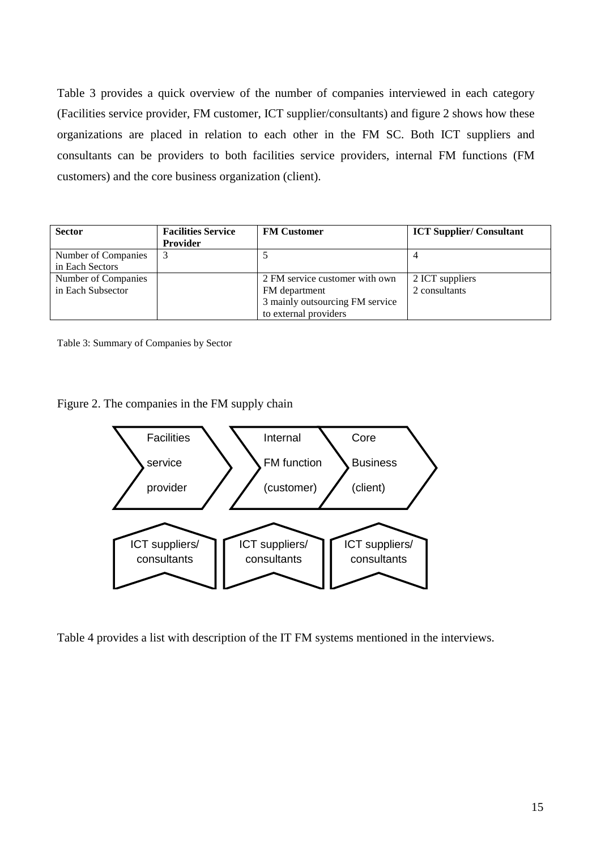Table 3 provides a quick overview of the number of companies interviewed in each category (Facilities service provider, FM customer, ICT supplier/consultants) and figure 2 shows how these organizations are placed in relation to each other in the FM SC. Both ICT suppliers and consultants can be providers to both facilities service providers, internal FM functions (FM customers) and the core business organization (client).

| <b>Sector</b>       | <b>Facilities Service</b><br><b>Provider</b> | <b>FM Customer</b>              | <b>ICT Supplier/Consultant</b> |
|---------------------|----------------------------------------------|---------------------------------|--------------------------------|
| Number of Companies |                                              |                                 |                                |
| in Each Sectors     |                                              |                                 |                                |
| Number of Companies |                                              | 2 FM service customer with own  | 2 ICT suppliers                |
| in Each Subsector   |                                              | FM department                   | 2 consultants                  |
|                     |                                              | 3 mainly outsourcing FM service |                                |
|                     |                                              | to external providers           |                                |

Table 3: Summary of Companies by Sector

Figure 2. The companies in the FM supply chain



Table 4 provides a list with description of the IT FM systems mentioned in the interviews.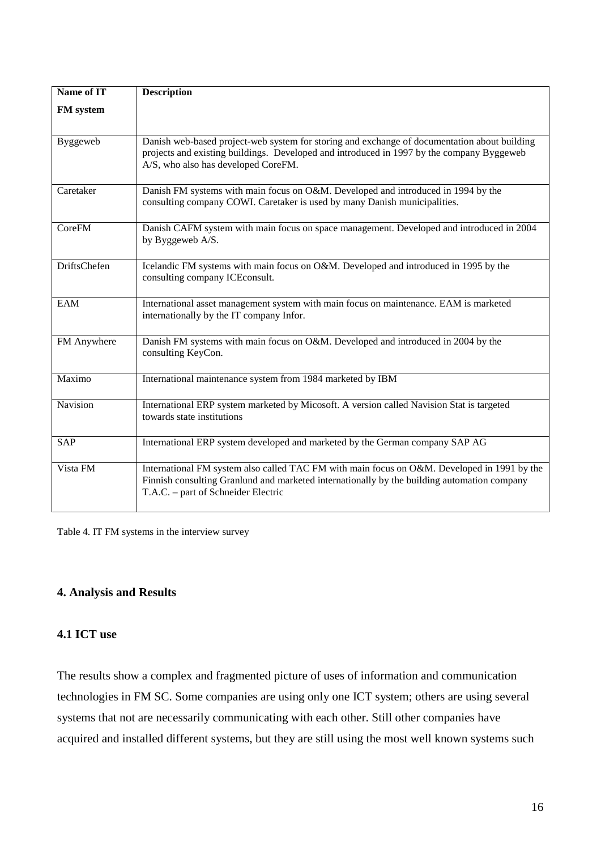| Name of IT          | <b>Description</b>                                                                                                                                                                                                                |
|---------------------|-----------------------------------------------------------------------------------------------------------------------------------------------------------------------------------------------------------------------------------|
| FM system           |                                                                                                                                                                                                                                   |
| Byggeweb            | Danish web-based project-web system for storing and exchange of documentation about building<br>projects and existing buildings. Developed and introduced in 1997 by the company Byggeweb<br>A/S, who also has developed CoreFM.  |
| Caretaker           | Danish FM systems with main focus on O&M. Developed and introduced in 1994 by the<br>consulting company COWI. Caretaker is used by many Danish municipalities.                                                                    |
| <b>CoreFM</b>       | Danish CAFM system with main focus on space management. Developed and introduced in 2004<br>by Byggeweb A/S.                                                                                                                      |
| <b>DriftsChefen</b> | Icelandic FM systems with main focus on O&M. Developed and introduced in 1995 by the<br>consulting company ICE consult.                                                                                                           |
| <b>EAM</b>          | International asset management system with main focus on maintenance. EAM is marketed<br>internationally by the IT company Infor.                                                                                                 |
| FM Anywhere         | Danish FM systems with main focus on O&M. Developed and introduced in 2004 by the<br>consulting KeyCon.                                                                                                                           |
| Maximo              | International maintenance system from 1984 marketed by IBM                                                                                                                                                                        |
| Navision            | International ERP system marketed by Micosoft. A version called Navision Stat is targeted<br>towards state institutions                                                                                                           |
| SAP                 | International ERP system developed and marketed by the German company SAP AG                                                                                                                                                      |
| Vista FM            | International FM system also called TAC FM with main focus on O&M. Developed in 1991 by the<br>Finnish consulting Granlund and marketed internationally by the building automation company<br>T.A.C. – part of Schneider Electric |

Table 4. IT FM systems in the interview survey

#### **4. Analysis and Results**

#### **4.1 ICT use**

The results show a complex and fragmented picture of uses of information and communication technologies in FM SC. Some companies are using only one ICT system; others are using several systems that not are necessarily communicating with each other. Still other companies have acquired and installed different systems, but they are still using the most well known systems such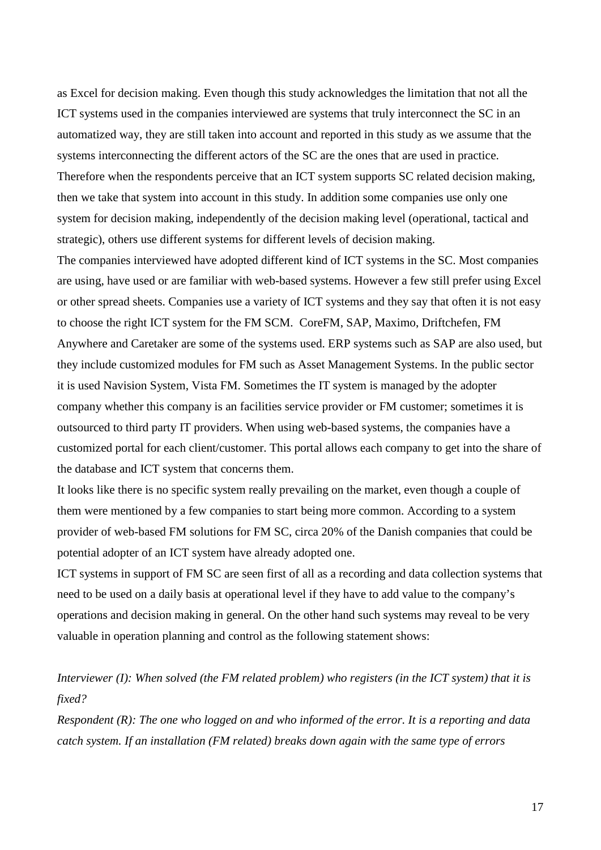as Excel for decision making. Even though this study acknowledges the limitation that not all the ICT systems used in the companies interviewed are systems that truly interconnect the SC in an automatized way, they are still taken into account and reported in this study as we assume that the systems interconnecting the different actors of the SC are the ones that are used in practice. Therefore when the respondents perceive that an ICT system supports SC related decision making, then we take that system into account in this study. In addition some companies use only one system for decision making, independently of the decision making level (operational, tactical and strategic), others use different systems for different levels of decision making.

The companies interviewed have adopted different kind of ICT systems in the SC. Most companies are using, have used or are familiar with web-based systems. However a few still prefer using Excel or other spread sheets. Companies use a variety of ICT systems and they say that often it is not easy to choose the right ICT system for the FM SCM. CoreFM, SAP, Maximo, Driftchefen, FM Anywhere and Caretaker are some of the systems used. ERP systems such as SAP are also used, but they include customized modules for FM such as Asset Management Systems. In the public sector it is used Navision System, Vista FM. Sometimes the IT system is managed by the adopter company whether this company is an facilities service provider or FM customer; sometimes it is outsourced to third party IT providers. When using web-based systems, the companies have a customized portal for each client/customer. This portal allows each company to get into the share of the database and ICT system that concerns them.

It looks like there is no specific system really prevailing on the market, even though a couple of them were mentioned by a few companies to start being more common. According to a system provider of web-based FM solutions for FM SC, circa 20% of the Danish companies that could be potential adopter of an ICT system have already adopted one.

ICT systems in support of FM SC are seen first of all as a recording and data collection systems that need to be used on a daily basis at operational level if they have to add value to the company's operations and decision making in general. On the other hand such systems may reveal to be very valuable in operation planning and control as the following statement shows:

## *Interviewer (I): When solved (the FM related problem) who registers (in the ICT system) that it is fixed?*

*Respondent (R): The one who logged on and who informed of the error. It is a reporting and data catch system. If an installation (FM related) breaks down again with the same type of errors*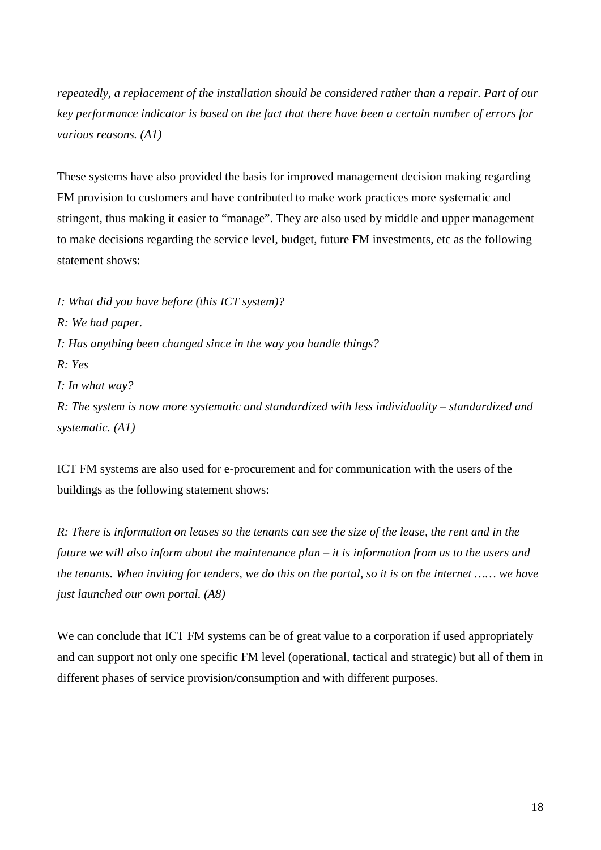*repeatedly, a replacement of the installation should be considered rather than a repair. Part of our key performance indicator is based on the fact that there have been a certain number of errors for various reasons. (A1)*

These systems have also provided the basis for improved management decision making regarding FM provision to customers and have contributed to make work practices more systematic and stringent, thus making it easier to "manage". They are also used by middle and upper management to make decisions regarding the service level, budget, future FM investments, etc as the following statement shows:

*I: What did you have before (this ICT system)?*

*R: We had paper.*

*I: Has anything been changed since in the way you handle things?*

*R: Yes*

*I: In what way?*

*R: The system is now more systematic and standardized with less individuality – standardized and systematic. (A1)*

ICT FM systems are also used for e-procurement and for communication with the users of the buildings as the following statement shows:

*R: There is information on leases so the tenants can see the size of the lease, the rent and in the future we will also inform about the maintenance plan – it is information from us to the users and the tenants. When inviting for tenders, we do this on the portal, so it is on the internet …… we have just launched our own portal. (A8)*

We can conclude that ICT FM systems can be of great value to a corporation if used appropriately and can support not only one specific FM level (operational, tactical and strategic) but all of them in different phases of service provision/consumption and with different purposes.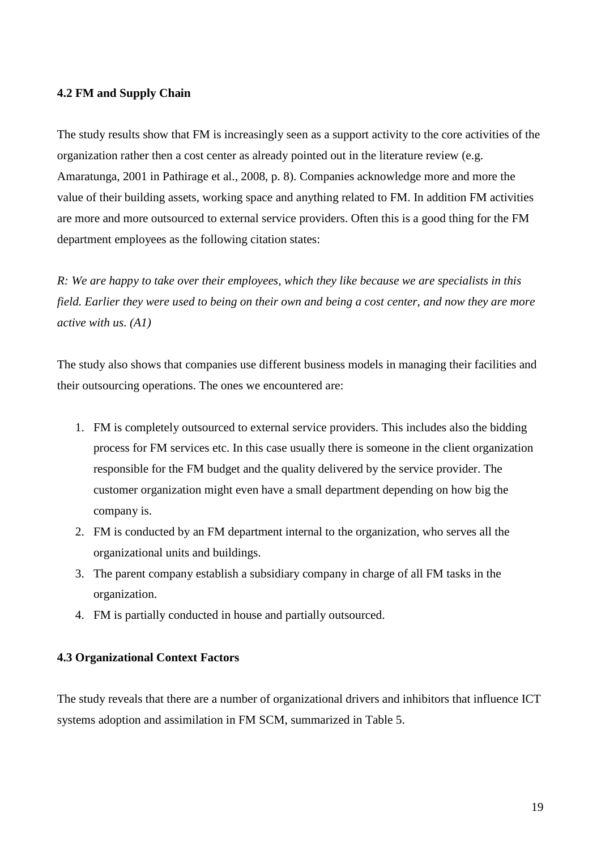#### **4.2 FM and Supply Chain**

The study results show that FM is increasingly seen as a support activity to the core activities of the organization rather then a cost center as already pointed out in the literature review (e.g. Amaratunga, 2001 in Pathirage et al., 2008, p. 8). Companies acknowledge more and more the value of their building assets, working space and anything related to FM. In addition FM activities are more and more outsourced to external service providers. Often this is a good thing for the FM department employees as the following citation states:

*R: We are happy to take over their employees, which they like because we are specialists in this field. Earlier they were used to being on their own and being a cost center, and now they are more active with us. (A1)*

The study also shows that companies use different business models in managing their facilities and their outsourcing operations. The ones we encountered are:

- 1. FM is completely outsourced to external service providers. This includes also the bidding process for FM services etc. In this case usually there is someone in the client organization responsible for the FM budget and the quality delivered by the service provider. The customer organization might even have a small department depending on how big the company is.
- 2. FM is conducted by an FM department internal to the organization, who serves all the organizational units and buildings.
- 3. The parent company establish a subsidiary company in charge of all FM tasks in the organization.
- 4. FM is partially conducted in house and partially outsourced.

#### **4.3 Organizational Context Factors**

The study reveals that there are a number of organizational drivers and inhibitors that influence ICT systems adoption and assimilation in FM SCM, summarized in Table 5.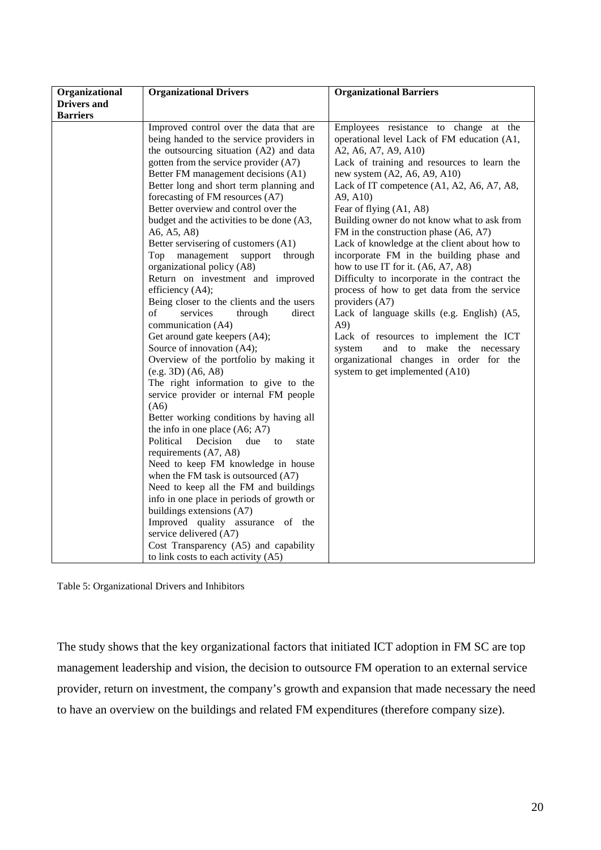| Organizational     | <b>Organizational Drivers</b>                                                                                                                                                                                                                                                                                                                                                                                                                                                                                                                                                                                                                                                                                                                                                                                                                                                                                                                                                                                                                                                                                                                                                                                                                                                                                                                                           | <b>Organizational Barriers</b>                                                                                                                                                                                                                                                                                                                                                                                                                                                                                                                                                                                                                                                                                                                                                                                                                     |
|--------------------|-------------------------------------------------------------------------------------------------------------------------------------------------------------------------------------------------------------------------------------------------------------------------------------------------------------------------------------------------------------------------------------------------------------------------------------------------------------------------------------------------------------------------------------------------------------------------------------------------------------------------------------------------------------------------------------------------------------------------------------------------------------------------------------------------------------------------------------------------------------------------------------------------------------------------------------------------------------------------------------------------------------------------------------------------------------------------------------------------------------------------------------------------------------------------------------------------------------------------------------------------------------------------------------------------------------------------------------------------------------------------|----------------------------------------------------------------------------------------------------------------------------------------------------------------------------------------------------------------------------------------------------------------------------------------------------------------------------------------------------------------------------------------------------------------------------------------------------------------------------------------------------------------------------------------------------------------------------------------------------------------------------------------------------------------------------------------------------------------------------------------------------------------------------------------------------------------------------------------------------|
| <b>Drivers and</b> |                                                                                                                                                                                                                                                                                                                                                                                                                                                                                                                                                                                                                                                                                                                                                                                                                                                                                                                                                                                                                                                                                                                                                                                                                                                                                                                                                                         |                                                                                                                                                                                                                                                                                                                                                                                                                                                                                                                                                                                                                                                                                                                                                                                                                                                    |
| <b>Barriers</b>    |                                                                                                                                                                                                                                                                                                                                                                                                                                                                                                                                                                                                                                                                                                                                                                                                                                                                                                                                                                                                                                                                                                                                                                                                                                                                                                                                                                         |                                                                                                                                                                                                                                                                                                                                                                                                                                                                                                                                                                                                                                                                                                                                                                                                                                                    |
|                    | Improved control over the data that are<br>being handed to the service providers in<br>the outsourcing situation (A2) and data<br>gotten from the service provider (A7)<br>Better FM management decisions (A1)<br>Better long and short term planning and<br>forecasting of FM resources (A7)<br>Better overview and control over the<br>budget and the activities to be done (A3,<br>A6, A5, A8)<br>Better servisering of customers (A1)<br>Top management support<br>through<br>organizational policy (A8)<br>Return on investment and improved<br>efficiency (A4);<br>Being closer to the clients and the users<br>of<br>services<br>through<br>direct<br>communication (A4)<br>Get around gate keepers (A4);<br>Source of innovation (A4);<br>Overview of the portfolio by making it<br>(e.g. 3D) (A6, A8)<br>The right information to give to the<br>service provider or internal FM people<br>(A6)<br>Better working conditions by having all<br>the info in one place $(As, A7)$<br>Political<br>Decision<br>due<br>to<br>state<br>requirements (A7, A8)<br>Need to keep FM knowledge in house<br>when the FM task is outsourced (A7)<br>Need to keep all the FM and buildings<br>info in one place in periods of growth or<br>buildings extensions (A7)<br>Improved quality assurance of the<br>service delivered (A7)<br>Cost Transparency (A5) and capability | Employees resistance to change at the<br>operational level Lack of FM education (A1,<br>A2, A6, A7, A9, A10)<br>Lack of training and resources to learn the<br>new system $(A2, A6, A9, A10)$<br>Lack of IT competence (A1, A2, A6, A7, A8,<br>A9, A10<br>Fear of flying (A1, A8)<br>Building owner do not know what to ask from<br>FM in the construction phase (A6, A7)<br>Lack of knowledge at the client about how to<br>incorporate FM in the building phase and<br>how to use IT for it. (A6, A7, A8)<br>Difficulty to incorporate in the contract the<br>process of how to get data from the service<br>providers (A7)<br>Lack of language skills (e.g. English) (A5,<br>A9)<br>Lack of resources to implement the ICT<br>and to make the necessary<br>system<br>organizational changes in order for the<br>system to get implemented (A10) |
|                    | to link costs to each activity (A5)                                                                                                                                                                                                                                                                                                                                                                                                                                                                                                                                                                                                                                                                                                                                                                                                                                                                                                                                                                                                                                                                                                                                                                                                                                                                                                                                     |                                                                                                                                                                                                                                                                                                                                                                                                                                                                                                                                                                                                                                                                                                                                                                                                                                                    |

Table 5: Organizational Drivers and Inhibitors

The study shows that the key organizational factors that initiated ICT adoption in FM SC are top management leadership and vision, the decision to outsource FM operation to an external service provider, return on investment, the company's growth and expansion that made necessary the need to have an overview on the buildings and related FM expenditures (therefore company size).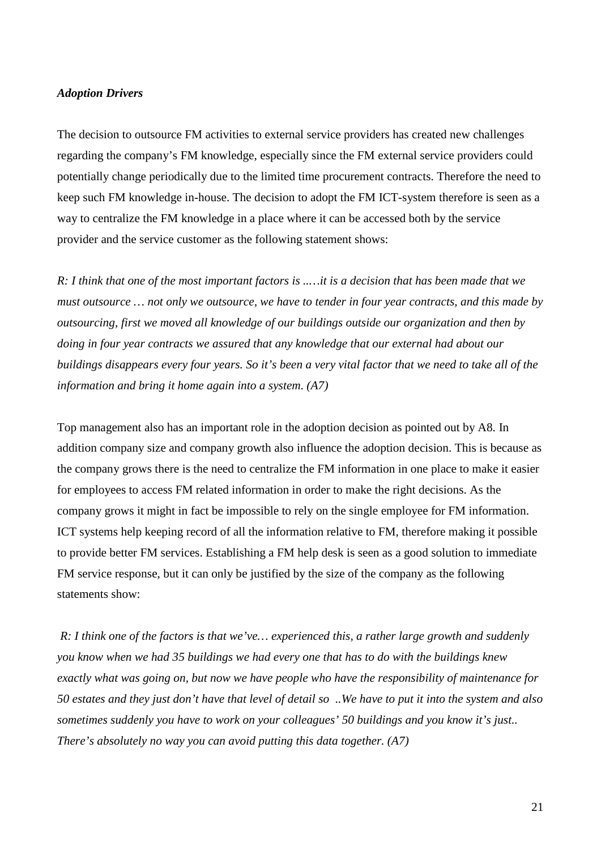#### *Adoption Drivers*

The decision to outsource FM activities to external service providers has created new challenges regarding the company's FM knowledge, especially since the FM external service providers could potentially change periodically due to the limited time procurement contracts. Therefore the need to keep such FM knowledge in-house. The decision to adopt the FM ICT-system therefore is seen as a way to centralize the FM knowledge in a place where it can be accessed both by the service provider and the service customer as the following statement shows:

*R: I think that one of the most important factors is ..…it is a decision that has been made that we must outsource … not only we outsource, we have to tender in four year contracts, and this made by outsourcing, first we moved all knowledge of our buildings outside our organization and then by doing in four year contracts we assured that any knowledge that our external had about our buildings disappears every four years. So it's been a very vital factor that we need to take all of the information and bring it home again into a system. (A7)*

Top management also has an important role in the adoption decision as pointed out by A8. In addition company size and company growth also influence the adoption decision. This is because as the company grows there is the need to centralize the FM information in one place to make it easier for employees to access FM related information in order to make the right decisions. As the company grows it might in fact be impossible to rely on the single employee for FM information. ICT systems help keeping record of all the information relative to FM, therefore making it possible to provide better FM services. Establishing a FM help desk is seen as a good solution to immediate FM service response, but it can only be justified by the size of the company as the following statements show:

*R: I think one of the factors is that we've… experienced this, a rather large growth and suddenly you know when we had 35 buildings we had every one that has to do with the buildings knew exactly what was going on, but now we have people who have the responsibility of maintenance for 50 estates and they just don't have that level of detail so ..We have to put it into the system and also sometimes suddenly you have to work on your colleagues' 50 buildings and you know it's just.. There's absolutely no way you can avoid putting this data together. (A7)*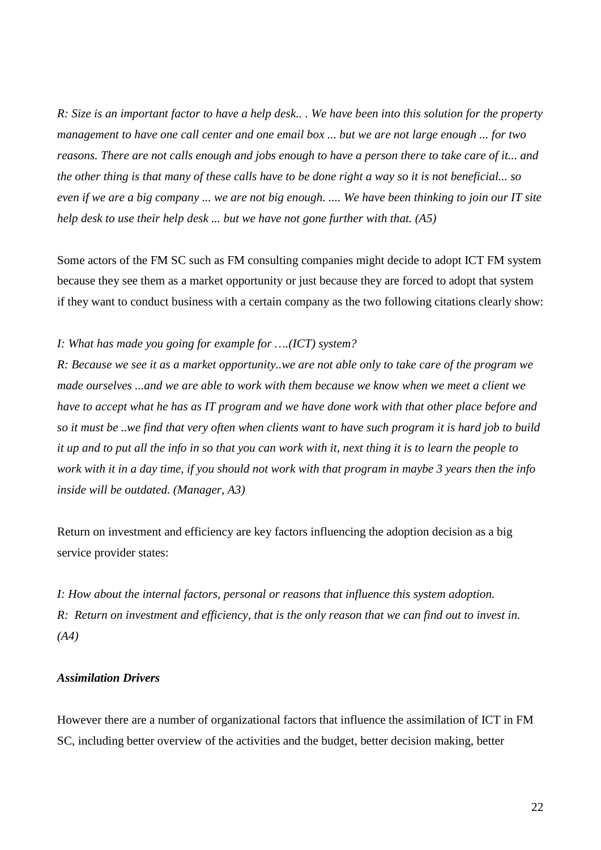*R: Size is an important factor to have a help desk.. . We have been into this solution for the property management to have one call center and one email box ... but we are not large enough ... for two reasons. There are not calls enough and jobs enough to have a person there to take care of it... and the other thing is that many of these calls have to be done right a way so it is not beneficial... so even if we are a big company ... we are not big enough. .... We have been thinking to join our IT site help desk to use their help desk ... but we have not gone further with that. (A5)*

Some actors of the FM SC such as FM consulting companies might decide to adopt ICT FM system because they see them as a market opportunity or just because they are forced to adopt that system if they want to conduct business with a certain company as the two following citations clearly show:

#### *I: What has made you going for example for ….(ICT) system?*

*R: Because we see it as a market opportunity..we are not able only to take care of the program we made ourselves ...and we are able to work with them because we know when we meet a client we have to accept what he has as IT program and we have done work with that other place before and so it must be ..we find that very often when clients want to have such program it is hard job to build it up and to put all the info in so that you can work with it, next thing it is to learn the people to work with it in a day time, if you should not work with that program in maybe 3 years then the info inside will be outdated. (Manager, A3)*

Return on investment and efficiency are key factors influencing the adoption decision as a big service provider states:

*I: How about the internal factors, personal or reasons that influence this system adoption. R: Return on investment and efficiency, that is the only reason that we can find out to invest in. (A4)*

#### *Assimilation Drivers*

However there are a number of organizational factors that influence the assimilation of ICT in FM SC, including better overview of the activities and the budget, better decision making, better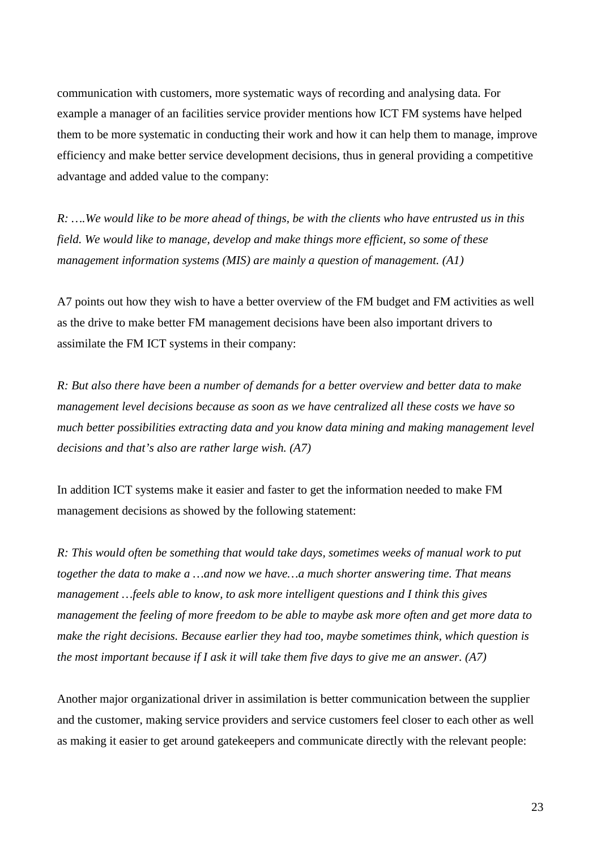communication with customers, more systematic ways of recording and analysing data. For example a manager of an facilities service provider mentions how ICT FM systems have helped them to be more systematic in conducting their work and how it can help them to manage, improve efficiency and make better service development decisions, thus in general providing a competitive advantage and added value to the company:

*R: ….We would like to be more ahead of things, be with the clients who have entrusted us in this field. We would like to manage, develop and make things more efficient, so some of these management information systems (MIS) are mainly a question of management. (A1)*

A7 points out how they wish to have a better overview of the FM budget and FM activities as well as the drive to make better FM management decisions have been also important drivers to assimilate the FM ICT systems in their company:

*R: But also there have been a number of demands for a better overview and better data to make management level decisions because as soon as we have centralized all these costs we have so much better possibilities extracting data and you know data mining and making management level decisions and that's also are rather large wish. (A7)*

In addition ICT systems make it easier and faster to get the information needed to make FM management decisions as showed by the following statement:

*R: This would often be something that would take days, sometimes weeks of manual work to put together the data to make a …and now we have…a much shorter answering time. That means management …feels able to know, to ask more intelligent questions and I think this gives management the feeling of more freedom to be able to maybe ask more often and get more data to make the right decisions. Because earlier they had too, maybe sometimes think, which question is the most important because if I ask it will take them five days to give me an answer. (A7)*

Another major organizational driver in assimilation is better communication between the supplier and the customer, making service providers and service customers feel closer to each other as well as making it easier to get around gatekeepers and communicate directly with the relevant people: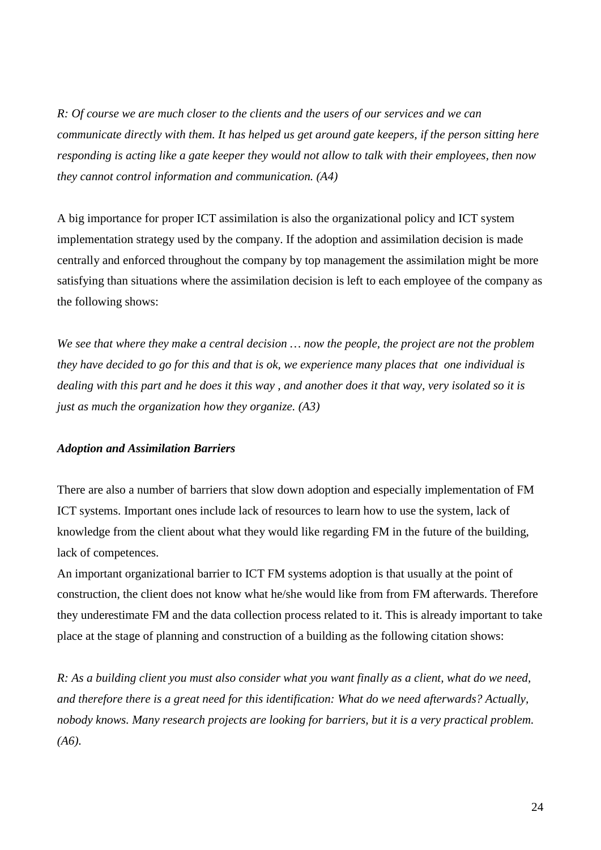*R: Of course we are much closer to the clients and the users of our services and we can communicate directly with them. It has helped us get around gate keepers, if the person sitting here responding is acting like a gate keeper they would not allow to talk with their employees, then now they cannot control information and communication. (A4)*

A big importance for proper ICT assimilation is also the organizational policy and ICT system implementation strategy used by the company. If the adoption and assimilation decision is made centrally and enforced throughout the company by top management the assimilation might be more satisfying than situations where the assimilation decision is left to each employee of the company as the following shows:

*We see that where they make a central decision … now the people, the project are not the problem they have decided to go for this and that is ok, we experience many places that one individual is dealing with this part and he does it this way , and another does it that way, very isolated so it is just as much the organization how they organize. (A3)*

#### *Adoption and Assimilation Barriers*

There are also a number of barriers that slow down adoption and especially implementation of FM ICT systems. Important ones include lack of resources to learn how to use the system, lack of knowledge from the client about what they would like regarding FM in the future of the building, lack of competences.

An important organizational barrier to ICT FM systems adoption is that usually at the point of construction, the client does not know what he/she would like from from FM afterwards. Therefore they underestimate FM and the data collection process related to it. This is already important to take place at the stage of planning and construction of a building as the following citation shows:

*R: As a building client you must also consider what you want finally as a client, what do we need, and therefore there is a great need for this identification: What do we need afterwards? Actually, nobody knows. Many research projects are looking for barriers, but it is a very practical problem. (A6).*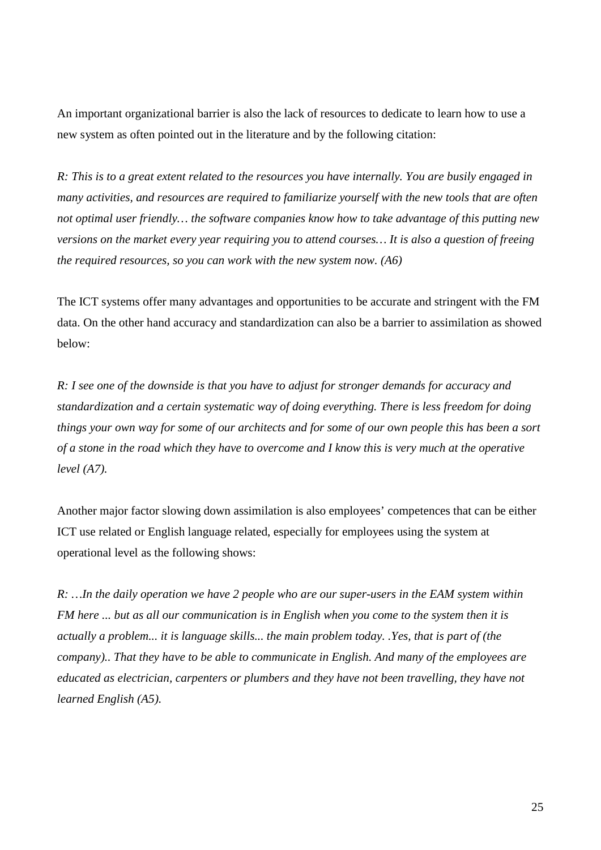An important organizational barrier is also the lack of resources to dedicate to learn how to use a new system as often pointed out in the literature and by the following citation:

*R: This is to a great extent related to the resources you have internally. You are busily engaged in many activities, and resources are required to familiarize yourself with the new tools that are often not optimal user friendly… the software companies know how to take advantage of this putting new versions on the market every year requiring you to attend courses… It is also a question of freeing the required resources, so you can work with the new system now. (A6)*

The ICT systems offer many advantages and opportunities to be accurate and stringent with the FM data. On the other hand accuracy and standardization can also be a barrier to assimilation as showed below:

*R: I see one of the downside is that you have to adjust for stronger demands for accuracy and standardization and a certain systematic way of doing everything. There is less freedom for doing things your own way for some of our architects and for some of our own people this has been a sort of a stone in the road which they have to overcome and I know this is very much at the operative level (A7).*

Another major factor slowing down assimilation is also employees' competences that can be either ICT use related or English language related, especially for employees using the system at operational level as the following shows:

*R: …In the daily operation we have 2 people who are our super-users in the EAM system within FM here ... but as all our communication is in English when you come to the system then it is actually a problem... it is language skills... the main problem today. .Yes, that is part of (the company).. That they have to be able to communicate in English. And many of the employees are educated as electrician, carpenters or plumbers and they have not been travelling, they have not learned English (A5).*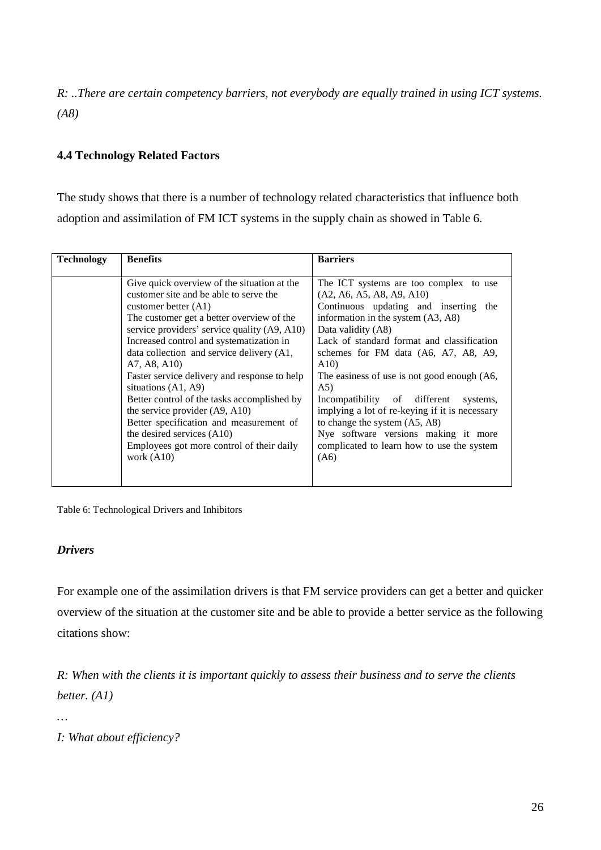*R: ..There are certain competency barriers, not everybody are equally trained in using ICT systems. (A8)*

#### **4.4 Technology Related Factors**

The study shows that there is a number of technology related characteristics that influence both adoption and assimilation of FM ICT systems in the supply chain as showed in Table 6.

| <b>Technology</b> | <b>Benefits</b>                              | <b>Barriers</b>                                |
|-------------------|----------------------------------------------|------------------------------------------------|
|                   |                                              |                                                |
|                   | Give quick overview of the situation at the  | The ICT systems are too complex<br>to use      |
|                   | customer site and be able to serve the       | (A2, A6, A5, A8, A9, A10)                      |
|                   | customer better $(A1)$                       | Continuous updating and inserting<br>the       |
|                   | The customer get a better overview of the    | information in the system (A3, A8)             |
|                   | service providers' service quality (A9, A10) | Data validity (A8)                             |
|                   | Increased control and systematization in     | Lack of standard format and classification     |
|                   | data collection and service delivery (A1,    | schemes for FM data (A6, A7, A8, A9,           |
|                   | A7, A8, A10)                                 | A10                                            |
|                   | Faster service delivery and response to help | The easiness of use is not good enough (A6,    |
|                   | situations $(A1, A9)$                        | (A5)                                           |
|                   | Better control of the tasks accomplished by  | Incompatibility of different<br>systems,       |
|                   | the service provider $(A9, A10)$             | implying a lot of re-keying if it is necessary |
|                   | Better specification and measurement of      | to change the system (A5, A8)                  |
|                   | the desired services (A10)                   | Nye software versions making it more           |
|                   | Employees got more control of their daily    | complicated to learn how to use the system     |
|                   | work $(A10)$                                 | (A6)                                           |
|                   |                                              |                                                |
|                   |                                              |                                                |

Table 6: Technological Drivers and Inhibitors

#### *Drivers*

For example one of the assimilation drivers is that FM service providers can get a better and quicker overview of the situation at the customer site and be able to provide a better service as the following citations show:

*R: When with the clients it is important quickly to assess their business and to serve the clients better. (A1)*

*…*

*I: What about efficiency?*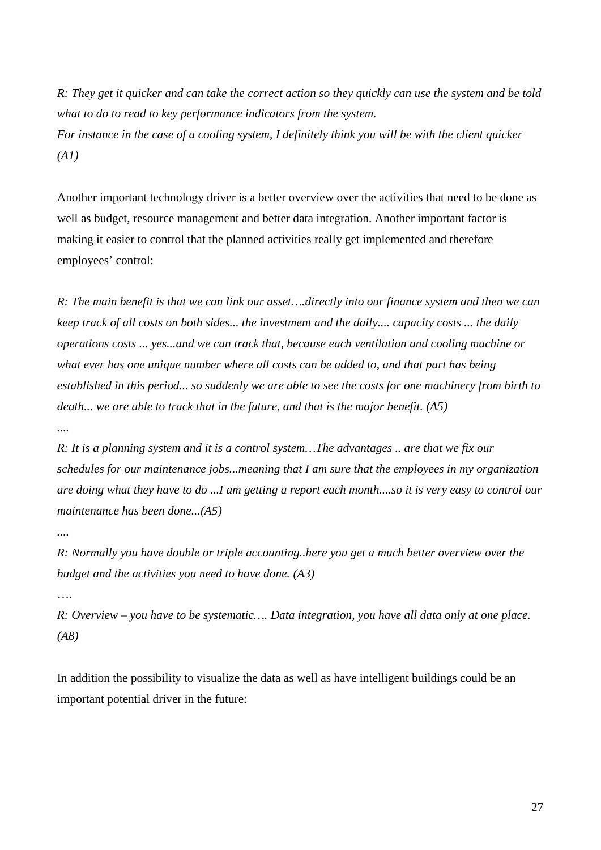*R: They get it quicker and can take the correct action so they quickly can use the system and be told what to do to read to key performance indicators from the system. For instance in the case of a cooling system, I definitely think you will be with the client quicker (A1)*

Another important technology driver is a better overview over the activities that need to be done as well as budget, resource management and better data integration. Another important factor is making it easier to control that the planned activities really get implemented and therefore employees' control:

*R: The main benefit is that we can link our asset….directly into our finance system and then we can keep track of all costs on both sides... the investment and the daily.... capacity costs ... the daily operations costs ... yes...and we can track that, because each ventilation and cooling machine or what ever has one unique number where all costs can be added to, and that part has being established in this period... so suddenly we are able to see the costs for one machinery from birth to death... we are able to track that in the future, and that is the major benefit. (A5)*

*R: It is a planning system and it is a control system…The advantages .. are that we fix our schedules for our maintenance jobs...meaning that I am sure that the employees in my organization are doing what they have to do ...I am getting a report each month....so it is very easy to control our maintenance has been done...(A5)*

*....*

*R: Normally you have double or triple accounting..here you get a much better overview over the budget and the activities you need to have done. (A3)*

….

*R: Overview – you have to be systematic…. Data integration, you have all data only at one place. (A8)*

In addition the possibility to visualize the data as well as have intelligent buildings could be an important potential driver in the future: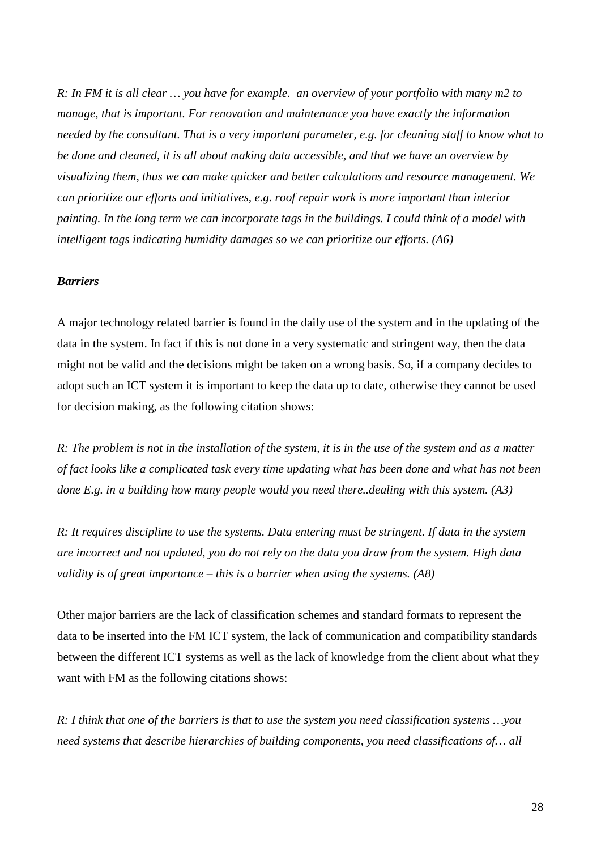*R: In FM it is all clear ... you have for example. an overview of your portfolio with many m2 to manage, that is important. For renovation and maintenance you have exactly the information needed by the consultant. That is a very important parameter, e.g. for cleaning staff to know what to be done and cleaned, it is all about making data accessible, and that we have an overview by visualizing them, thus we can make quicker and better calculations and resource management. We can prioritize our efforts and initiatives, e.g. roof repair work is more important than interior painting. In the long term we can incorporate tags in the buildings. I could think of a model with intelligent tags indicating humidity damages so we can prioritize our efforts. (A6)*

#### *Barriers*

A major technology related barrier is found in the daily use of the system and in the updating of the data in the system. In fact if this is not done in a very systematic and stringent way, then the data might not be valid and the decisions might be taken on a wrong basis. So, if a company decides to adopt such an ICT system it is important to keep the data up to date, otherwise they cannot be used for decision making, as the following citation shows:

*R: The problem is not in the installation of the system, it is in the use of the system and as a matter of fact looks like a complicated task every time updating what has been done and what has not been done E.g. in a building how many people would you need there..dealing with this system. (A3)*

*R: It requires discipline to use the systems. Data entering must be stringent. If data in the system are incorrect and not updated, you do not rely on the data you draw from the system. High data validity is of great importance – this is a barrier when using the systems. (A8)*

Other major barriers are the lack of classification schemes and standard formats to represent the data to be inserted into the FM ICT system, the lack of communication and compatibility standards between the different ICT systems as well as the lack of knowledge from the client about what they want with FM as the following citations shows:

*R: I think that one of the barriers is that to use the system you need classification systems …you need systems that describe hierarchies of building components, you need classifications of… all*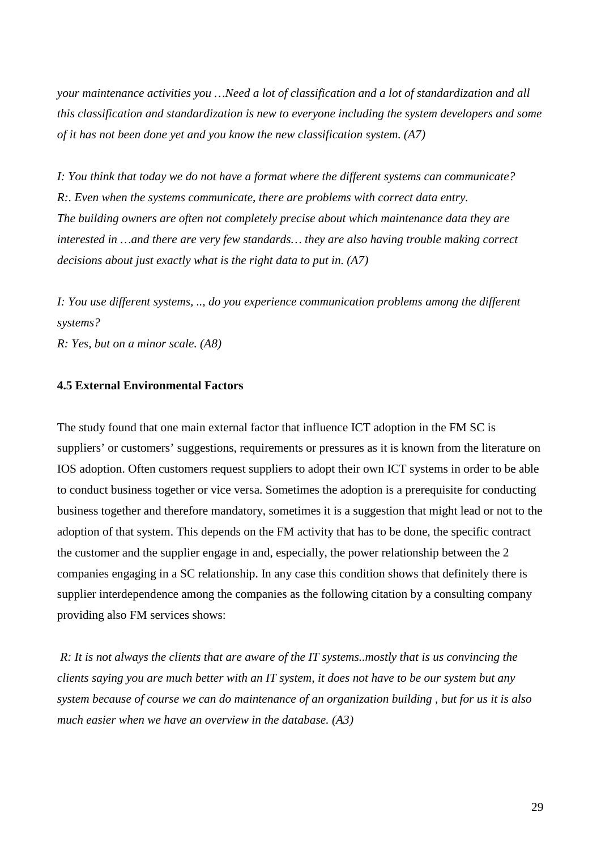*your maintenance activities you …Need a lot of classification and a lot of standardization and all this classification and standardization is new to everyone including the system developers and some of it has not been done yet and you know the new classification system. (A7)*

*I: You think that today we do not have a format where the different systems can communicate? R:. Even when the systems communicate, there are problems with correct data entry. The building owners are often not completely precise about which maintenance data they are interested in …and there are very few standards… they are also having trouble making correct decisions about just exactly what is the right data to put in. (A7)*

*I: You use different systems, .., do you experience communication problems among the different systems?* 

*R: Yes, but on a minor scale. (A8)*

#### **4.5 External Environmental Factors**

The study found that one main external factor that influence ICT adoption in the FM SC is suppliers' or customers' suggestions, requirements or pressures as it is known from the literature on IOS adoption. Often customers request suppliers to adopt their own ICT systems in order to be able to conduct business together or vice versa. Sometimes the adoption is a prerequisite for conducting business together and therefore mandatory, sometimes it is a suggestion that might lead or not to the adoption of that system. This depends on the FM activity that has to be done, the specific contract the customer and the supplier engage in and, especially, the power relationship between the 2 companies engaging in a SC relationship. In any case this condition shows that definitely there is supplier interdependence among the companies as the following citation by a consulting company providing also FM services shows:

*R: It is not always the clients that are aware of the IT systems..mostly that is us convincing the clients saying you are much better with an IT system, it does not have to be our system but any system because of course we can do maintenance of an organization building , but for us it is also much easier when we have an overview in the database. (A3)*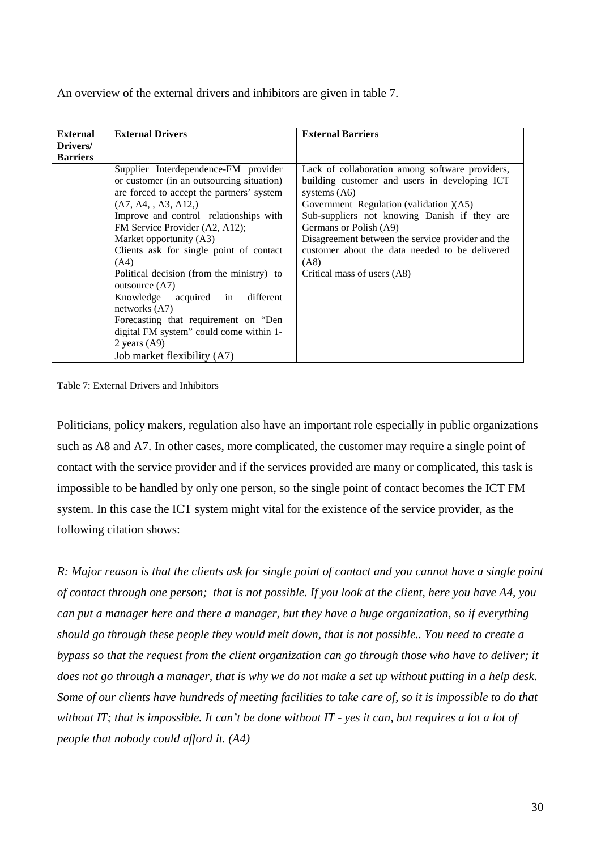An overview of the external drivers and inhibitors are given in table 7.

| <b>External</b> | <b>External Drivers</b>                   | <b>External Barriers</b>                          |
|-----------------|-------------------------------------------|---------------------------------------------------|
| Drivers/        |                                           |                                                   |
| <b>Barriers</b> |                                           |                                                   |
|                 | Supplier Interdependence-FM provider      | Lack of collaboration among software providers,   |
|                 | or customer (in an outsourcing situation) | building customer and users in developing ICT     |
|                 | are forced to accept the partners' system | systems $(A6)$                                    |
|                 | (A7, A4, A3, A12)                         | Government Regulation (validation )(A5)           |
|                 | Improve and control relationships with    | Sub-suppliers not knowing Danish if they are      |
|                 | FM Service Provider (A2, A12);            | Germans or Polish (A9)                            |
|                 | Market opportunity (A3)                   | Disagreement between the service provider and the |
|                 | Clients ask for single point of contact   | customer about the data needed to be delivered    |
|                 | (A4)                                      | (AB)                                              |
|                 | Political decision (from the ministry) to | Critical mass of users (A8)                       |
|                 | outsource $(A7)$                          |                                                   |
|                 | Knowledge<br>different<br>acquired in     |                                                   |
|                 | networks $(A7)$                           |                                                   |
|                 | Forecasting that requirement on "Den      |                                                   |
|                 | digital FM system" could come within 1-   |                                                   |
|                 | 2 years $(A9)$                            |                                                   |
|                 | Job market flexibility (A7)               |                                                   |

Table 7: External Drivers and Inhibitors

Politicians, policy makers, regulation also have an important role especially in public organizations such as A8 and A7. In other cases, more complicated, the customer may require a single point of contact with the service provider and if the services provided are many or complicated, this task is impossible to be handled by only one person, so the single point of contact becomes the ICT FM system. In this case the ICT system might vital for the existence of the service provider, as the following citation shows:

*R: Major reason is that the clients ask for single point of contact and you cannot have a single point of contact through one person; that is not possible. If you look at the client, here you have A4, you can put a manager here and there a manager, but they have a huge organization, so if everything should go through these people they would melt down, that is not possible.. You need to create a bypass so that the request from the client organization can go through those who have to deliver; it does not go through a manager, that is why we do not make a set up without putting in a help desk. Some of our clients have hundreds of meeting facilities to take care of, so it is impossible to do that without IT; that is impossible. It can't be done without IT - yes it can, but requires a lot a lot of people that nobody could afford it. (A4)*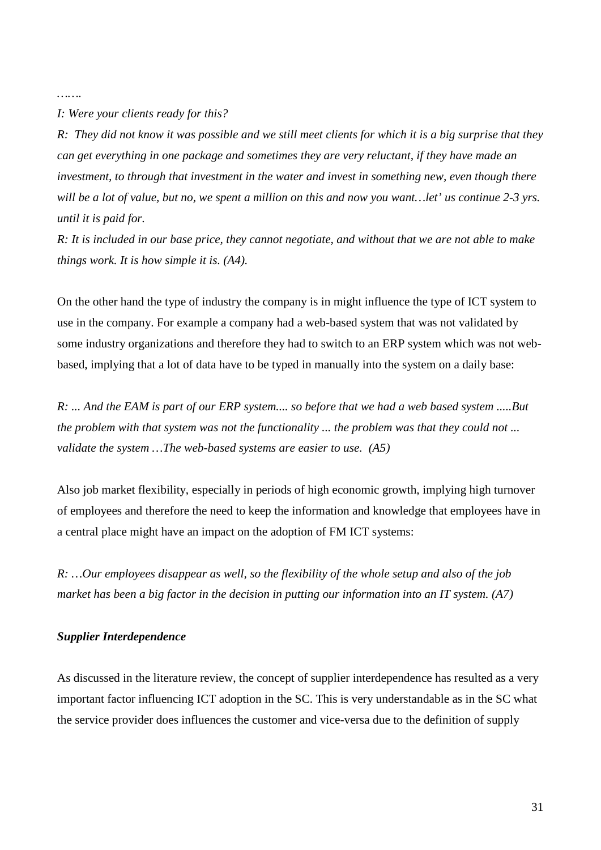*…….*

*I: Were your clients ready for this?* 

*R: They did not know it was possible and we still meet clients for which it is a big surprise that they can get everything in one package and sometimes they are very reluctant, if they have made an investment, to through that investment in the water and invest in something new, even though there will be a lot of value, but no, we spent a million on this and now you want…let' us continue 2-3 yrs. until it is paid for.*

*R: It is included in our base price, they cannot negotiate, and without that we are not able to make things work. It is how simple it is. (A4).*

On the other hand the type of industry the company is in might influence the type of ICT system to use in the company. For example a company had a web-based system that was not validated by some industry organizations and therefore they had to switch to an ERP system which was not webbased, implying that a lot of data have to be typed in manually into the system on a daily base:

*R: ... And the EAM is part of our ERP system.... so before that we had a web based system .....But the problem with that system was not the functionality ... the problem was that they could not ... validate the system …The web-based systems are easier to use. (A5)*

Also job market flexibility, especially in periods of high economic growth, implying high turnover of employees and therefore the need to keep the information and knowledge that employees have in a central place might have an impact on the adoption of FM ICT systems:

*R: …Our employees disappear as well, so the flexibility of the whole setup and also of the job market has been a big factor in the decision in putting our information into an IT system. (A7)*

#### *Supplier Interdependence*

As discussed in the literature review, the concept of supplier interdependence has resulted as a very important factor influencing ICT adoption in the SC. This is very understandable as in the SC what the service provider does influences the customer and vice-versa due to the definition of supply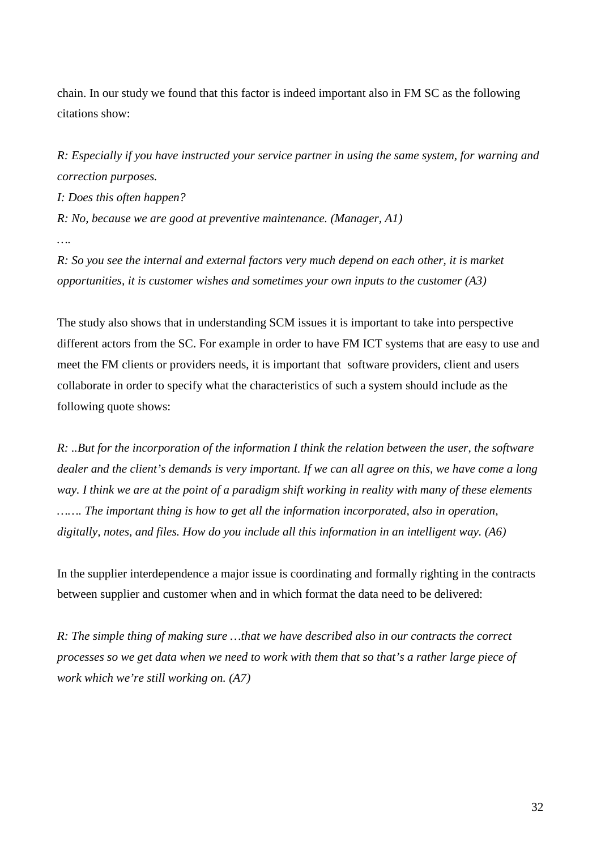chain. In our study we found that this factor is indeed important also in FM SC as the following citations show:

*R: Especially if you have instructed your service partner in using the same system, for warning and correction purposes.*

*I: Does this often happen?*

*R: No, because we are good at preventive maintenance. (Manager, A1)*

*….*

*R: So you see the internal and external factors very much depend on each other, it is market opportunities, it is customer wishes and sometimes your own inputs to the customer (A3)*

The study also shows that in understanding SCM issues it is important to take into perspective different actors from the SC. For example in order to have FM ICT systems that are easy to use and meet the FM clients or providers needs, it is important that software providers, client and users collaborate in order to specify what the characteristics of such a system should include as the following quote shows:

*R: ..But for the incorporation of the information I think the relation between the user, the software dealer and the client's demands is very important. If we can all agree on this, we have come a long way. I think we are at the point of a paradigm shift working in reality with many of these elements ……. The important thing is how to get all the information incorporated, also in operation, digitally, notes, and files. How do you include all this information in an intelligent way. (A6)*

In the supplier interdependence a major issue is coordinating and formally righting in the contracts between supplier and customer when and in which format the data need to be delivered:

*R: The simple thing of making sure …that we have described also in our contracts the correct processes so we get data when we need to work with them that so that's a rather large piece of work which we're still working on. (A7)*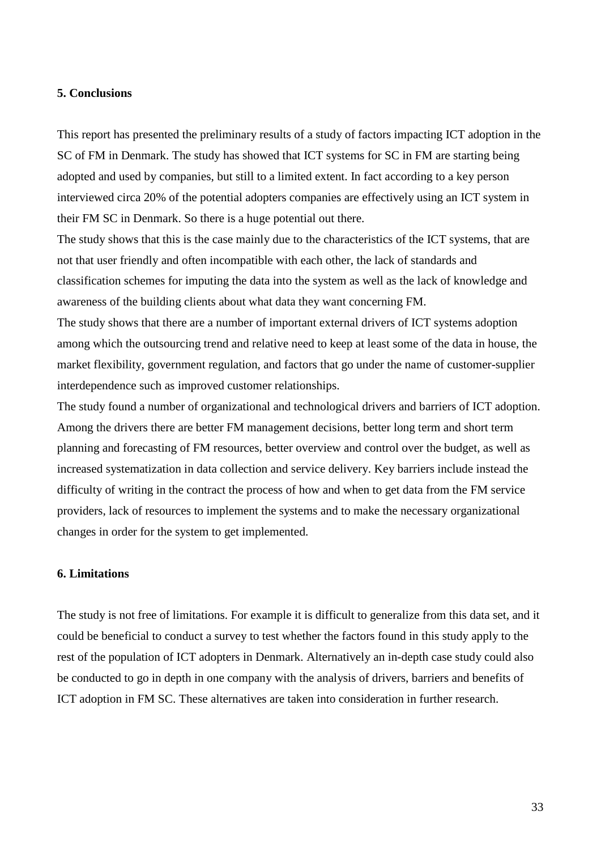#### **5. Conclusions**

This report has presented the preliminary results of a study of factors impacting ICT adoption in the SC of FM in Denmark. The study has showed that ICT systems for SC in FM are starting being adopted and used by companies, but still to a limited extent. In fact according to a key person interviewed circa 20% of the potential adopters companies are effectively using an ICT system in their FM SC in Denmark. So there is a huge potential out there.

The study shows that this is the case mainly due to the characteristics of the ICT systems, that are not that user friendly and often incompatible with each other, the lack of standards and classification schemes for imputing the data into the system as well as the lack of knowledge and awareness of the building clients about what data they want concerning FM.

The study shows that there are a number of important external drivers of ICT systems adoption among which the outsourcing trend and relative need to keep at least some of the data in house, the market flexibility, government regulation, and factors that go under the name of customer-supplier interdependence such as improved customer relationships.

The study found a number of organizational and technological drivers and barriers of ICT adoption. Among the drivers there are better FM management decisions, better long term and short term planning and forecasting of FM resources, better overview and control over the budget, as well as increased systematization in data collection and service delivery. Key barriers include instead the difficulty of writing in the contract the process of how and when to get data from the FM service providers, lack of resources to implement the systems and to make the necessary organizational changes in order for the system to get implemented.

#### **6. Limitations**

The study is not free of limitations. For example it is difficult to generalize from this data set, and it could be beneficial to conduct a survey to test whether the factors found in this study apply to the rest of the population of ICT adopters in Denmark. Alternatively an in-depth case study could also be conducted to go in depth in one company with the analysis of drivers, barriers and benefits of ICT adoption in FM SC. These alternatives are taken into consideration in further research.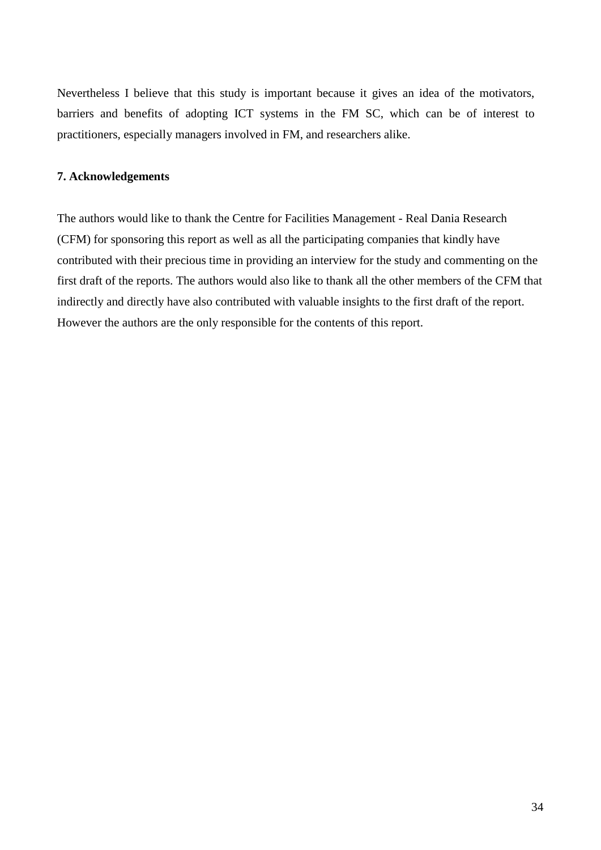Nevertheless I believe that this study is important because it gives an idea of the motivators, barriers and benefits of adopting ICT systems in the FM SC, which can be of interest to practitioners, especially managers involved in FM, and researchers alike.

#### **7. Acknowledgements**

The authors would like to thank the Centre for Facilities Management - Real Dania Research (CFM) for sponsoring this report as well as all the participating companies that kindly have contributed with their precious time in providing an interview for the study and commenting on the first draft of the reports. The authors would also like to thank all the other members of the CFM that indirectly and directly have also contributed with valuable insights to the first draft of the report. However the authors are the only responsible for the contents of this report.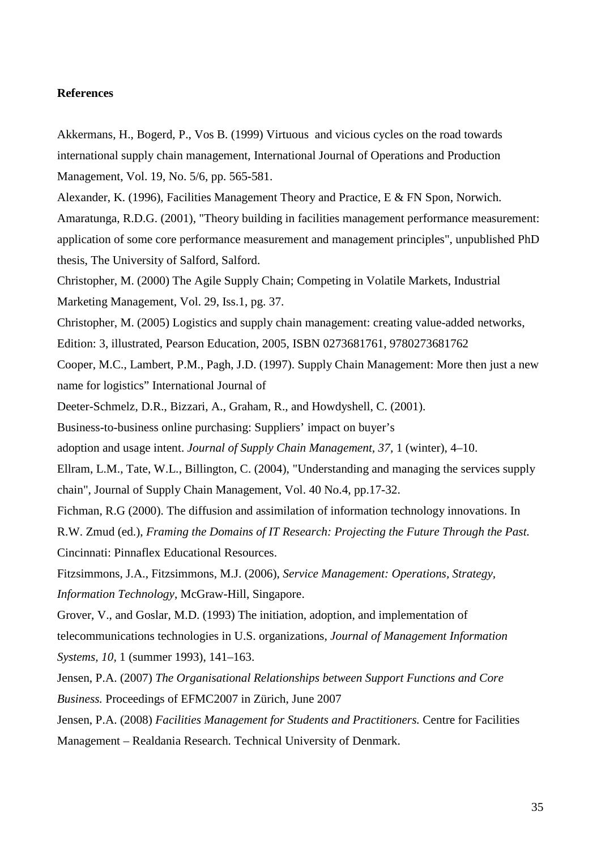#### **References**

Akkermans, H., Bogerd, P., Vos B. (1999) Virtuous and vicious cycles on the road towards international supply chain management, International Journal of Operations and Production Management, Vol. 19, No. 5/6, pp. 565-581.

Alexander, K. (1996), Facilities Management Theory and Practice, E & FN Spon, Norwich. Amaratunga, R.D.G. (2001), "Theory building in facilities management performance measurement: application of some core performance measurement and management principles", unpublished PhD thesis, The University of Salford, Salford.

Christopher, M. (2000) The Agile Supply Chain; Competing in Volatile Markets, Industrial Marketing Management, Vol. 29, Iss.1, pg. 37.

Christopher, M. (2005) Logistics and supply chain management: creating value-added networks,

Edition: 3, illustrated, Pearson Education, 2005, ISBN 0273681761, 9780273681762

Cooper, M.C., Lambert, P.M., Pagh, J.D. (1997). Supply Chain Management: More then just a new name for logistics" International Journal of

Deeter-Schmelz, D.R., Bizzari, A., Graham, R., and Howdyshell, C. (2001).

Business-to-business online purchasing: Suppliers' impact on buyer's

adoption and usage intent. *Journal of Supply Chain Management, 37,* 1 (winter), 4–10.

Ellram, L.M., Tate, W.L., Billington, C. (2004), "Understanding and managing the services supply chain", Journal of Supply Chain Management, Vol. 40 No.4, pp.17-32.

Fichman, R.G (2000). The diffusion and assimilation of information technology innovations. In

R.W. Zmud (ed.), *Framing the Domains of IT Research: Projecting the Future Through the Past.* 

Cincinnati: Pinnaflex Educational Resources.

Fitzsimmons, J.A., Fitzsimmons, M.J. (2006), *Service Management: Operations, Strategy, Information Technology* , McGraw-Hill, Singapore.

Grover, V., and Goslar, M.D. (1993) The initiation, adoption, and implementation of telecommunications technologies in U.S. organizations, *Journal of Management Information Systems, 10,* 1 (summer 1993), 141–163.

Jensen, P.A. (2007) *The Organisational Relationships between Support Functions and Core Business.* Proceedings of EFMC2007 in Zürich, June 2007

Jensen, P.A. (2008) *Facilities Management for Students and Practitioners.* Centre for Facilities Management – Realdania Research. Technical University of Denmark.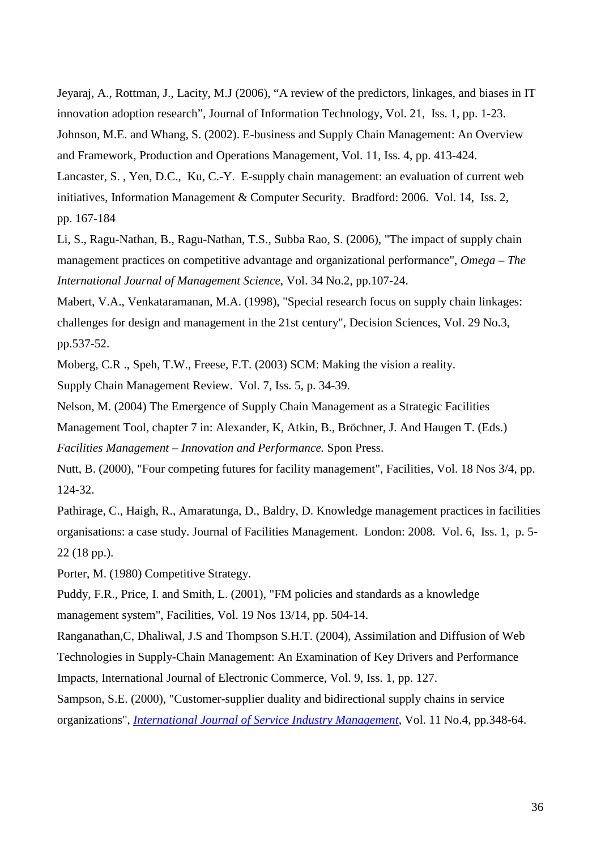Jeyaraj, A., Rottman, J., Lacity, M.J (2006), "A review of the predictors, linkages, and biases in IT innovation adoption research", Journal of Information Technology , Vol. 21, Iss. 1, pp. 1-23. Johnson, M.E. and Whang, S. (2002). E-business and Supply Chain Management: An Overview and Framework, Production and Operations Management, Vol. 11, Iss. 4, pp. 413-424. Lancaster, S. , Yen, D.C., Ku, C.-Y. E-supply chain management: an evaluation of current web initiatives, Information Management & Computer Security. Bradford: 2006. Vol. 14, Iss. 2, pp. 167-184

Li, S., Ragu-Nathan, B., Ragu-Nathan, T.S., Subba Rao, S. (2006), "The impact of supply chain management practices on competitive advantage and organizational performance", *Omega – The International Journal of Management Science* , Vol. 34 No.2, pp.107-24.

Mabert, V.A., Venkataramanan, M.A. (1998), "Special research focus on supply chain linkages: challenges for design and management in the 21st century", Decision Sciences, Vol. 29 No.3, pp.537-52.

Moberg, C.R ., Speh, T.W., Freese, F.T. (2003) SCM: Making the vision a reality.

Supply Chain Management Review. Vol. 7, Iss. 5, p. 34-39.

Nelson, M. (2004) The Emergence of Supply Chain Management as a Strategic Facilities Management Tool, chapter 7 in: Alexander, K, Atkin, B., Bröchner, J. And Haugen T. (Eds.) *Facilities Management – Innovation and Performance.* Spon Press.

Nutt, B. (2000), "Four competing futures for facility management", Facilities, Vol. 18 Nos 3/4, pp. 124-32.

Pathirage, C., Haigh, R., Amaratunga, D., Baldry, D. Knowledge management practices in facilities organisations: a case study. Journal of Facilities Management. London: 2008. Vol. 6, Iss. 1, p. 5- 22 (18 pp.).

Porter, M. (1980) Competitive Strategy.

Puddy, F.R., Price, I. and Smith, L. (2001), "FM policies and standards as a knowledge management system", Facilities, Vol. 19 Nos 13/14, pp. 504-14.

Ranganathan,C, Dhaliwal, J.S and Thompson S.H.T. (2004), Assimilation and Diffusion of Web Technologies in Supply-Chain Management: An Examination of Key Drivers and Performance Impacts, International Journal of Electronic Commerce, Vol. 9, Iss. 1, pp. 127.

Sampson, S.E. (2000), "Customer-supplier duality and bidirectional supply chains in service organizations", *International Journal of Service Industry Management*, Vol. 11 No.4, pp.348-64.